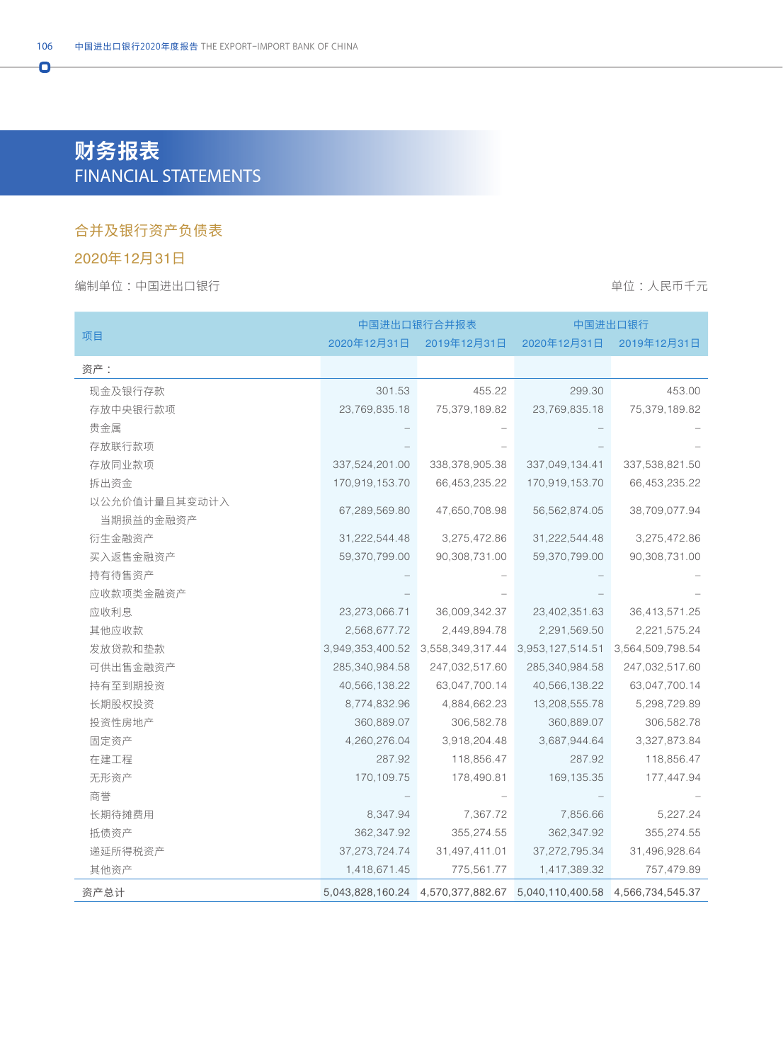# **财务报表** FINANCIAL STATEMENTS

#### 合并及银行资产负债表

### 2020年12月31日

Ō

#### 编制单位:中国进出口银行 着心的 : 我们在我们的时候,我们的时候,我们的时候,我们的时候,我们的时候,我们不会

|                            | 中国进出口银行合并报表      |                                                                     | 中国进出口银行          |                  |  |
|----------------------------|------------------|---------------------------------------------------------------------|------------------|------------------|--|
| 项目                         | 2020年12月31日      | 2019年12月31日                                                         | 2020年12月31日      | 2019年12月31日      |  |
| 资产:                        |                  |                                                                     |                  |                  |  |
| 现金及银行存款                    | 301.53           | 455.22                                                              | 299.30           | 453.00           |  |
| 存放中央银行款项                   | 23,769,835.18    | 75,379,189.82                                                       | 23,769,835.18    | 75,379,189.82    |  |
| 贵金属                        |                  |                                                                     |                  |                  |  |
| 存放联行款项                     |                  |                                                                     |                  |                  |  |
| 存放同业款项                     | 337,524,201.00   | 338,378,905.38                                                      | 337,049,134.41   | 337,538,821.50   |  |
| 拆出资金                       | 170,919,153.70   | 66,453,235.22                                                       | 170,919,153.70   | 66,453,235.22    |  |
| 以公允价值计量且其变动计入<br>当期损益的金融资产 | 67,289,569.80    | 47,650,708.98                                                       | 56,562,874.05    | 38,709,077.94    |  |
| 衍生金融资产                     | 31,222,544.48    | 3,275,472.86                                                        | 31,222,544.48    | 3,275,472.86     |  |
| 买入返售金融资产                   | 59,370,799.00    | 90,308,731.00                                                       | 59,370,799.00    | 90,308,731.00    |  |
| 持有待售资产                     |                  |                                                                     |                  |                  |  |
| 应收款项类金融资产                  |                  |                                                                     |                  |                  |  |
| 应收利息                       | 23,273,066.71    | 36,009,342.37                                                       | 23,402,351.63    | 36,413,571.25    |  |
| 其他应收款                      | 2,568,677.72     | 2,449,894.78                                                        | 2,291,569.50     | 2,221,575.24     |  |
| 发放贷款和垫款                    | 3,949,353,400.52 | 3,558,349,317.44 3,953,127,514.51                                   |                  | 3,564,509,798.54 |  |
| 可供出售金融资产                   | 285,340,984.58   | 247,032,517.60                                                      | 285,340,984.58   | 247,032,517.60   |  |
| 持有至到期投资                    | 40,566,138.22    | 63,047,700.14                                                       | 40,566,138.22    | 63,047,700.14    |  |
| 长期股权投资                     | 8,774,832.96     | 4,884,662.23                                                        | 13,208,555.78    | 5,298,729.89     |  |
| 投资性房地产                     | 360,889.07       | 306,582.78                                                          | 360,889.07       | 306,582.78       |  |
| 固定资产                       | 4,260,276.04     | 3,918,204.48                                                        | 3,687,944.64     | 3,327,873.84     |  |
| 在建工程                       | 287.92           | 118,856.47                                                          | 287.92           | 118,856.47       |  |
| 无形资产                       | 170,109.75       | 178,490.81                                                          | 169, 135.35      | 177,447.94       |  |
| 商誉                         |                  |                                                                     |                  |                  |  |
| 长期待摊费用                     | 8,347.94         | 7,367.72                                                            | 7,856.66         | 5,227.24         |  |
| 抵债资产                       | 362,347.92       | 355,274.55                                                          | 362,347.92       | 355,274.55       |  |
| 递延所得税资产                    | 37, 273, 724. 74 | 31,497,411.01                                                       | 37, 272, 795. 34 | 31,496,928.64    |  |
| 其他资产                       | 1,418,671.45     | 775,561.77                                                          | 1,417,389.32     | 757,479.89       |  |
| 资产总计                       |                  | 5,043,828,160.24 4,570,377,882.67 5,040,110,400.58 4,566,734,545.37 |                  |                  |  |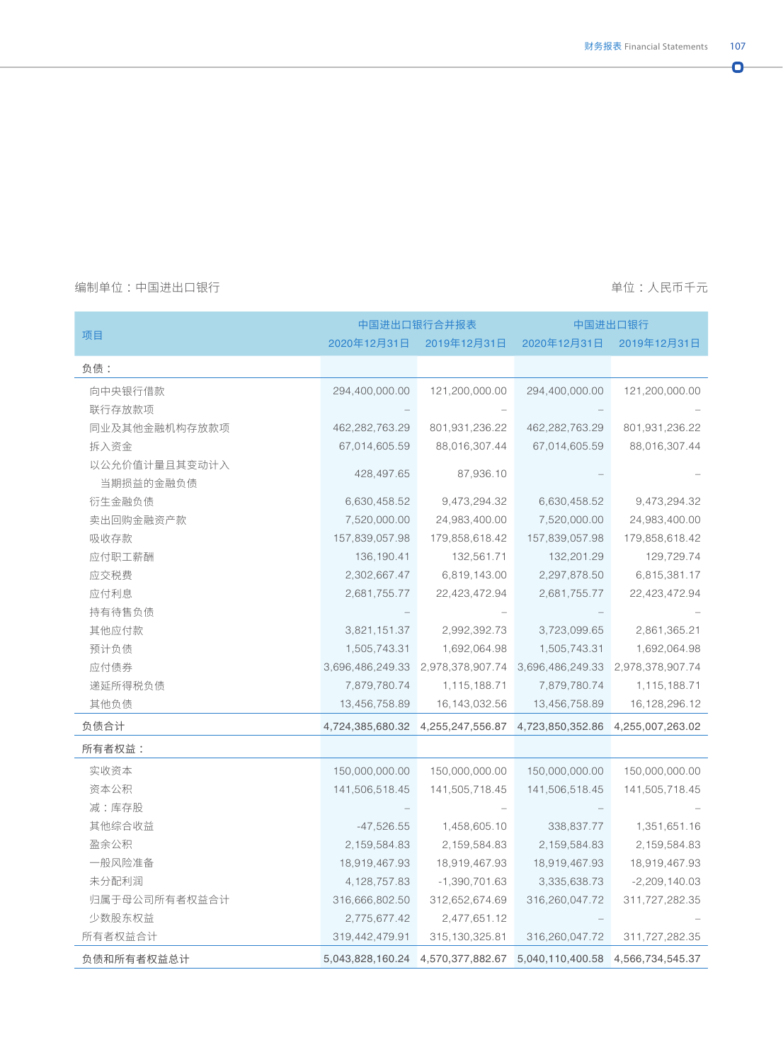$\bullet$ 

#### 编制单位 :中国进出口银行 单位 :人民币千元

|               |                  | 中国进出口银行合并报表      | 中国进出口银行          |                  |
|---------------|------------------|------------------|------------------|------------------|
| 项目            | 2020年12月31日      | 2019年12月31日      | 2020年12月31日      | 2019年12月31日      |
| 负债:           |                  |                  |                  |                  |
| 向中央银行借款       | 294,400,000.00   | 121,200,000.00   | 294,400,000.00   | 121,200,000.00   |
| 联行存放款项        |                  |                  |                  |                  |
| 同业及其他金融机构存放款项 | 462,282,763.29   | 801,931,236.22   | 462,282,763.29   | 801,931,236.22   |
| 拆入资金          | 67,014,605.59    | 88,016,307.44    | 67,014,605.59    | 88,016,307.44    |
| 以公允价值计量且其变动计入 |                  |                  |                  |                  |
| 当期损益的金融负债     | 428,497.65       | 87,936.10        |                  |                  |
| 衍生金融负债        | 6,630,458.52     | 9,473,294.32     | 6,630,458.52     | 9,473,294.32     |
| 卖出回购金融资产款     | 7,520,000.00     | 24,983,400.00    | 7,520,000.00     | 24,983,400.00    |
| 吸收存款          | 157,839,057.98   | 179,858,618.42   | 157,839,057.98   | 179,858,618.42   |
| 应付职工薪酬        | 136, 190.41      | 132,561.71       | 132,201.29       | 129,729.74       |
| 应交税费          | 2,302,667.47     | 6,819,143.00     | 2,297,878.50     | 6,815,381.17     |
| 应付利息          | 2,681,755.77     | 22,423,472.94    | 2,681,755.77     | 22,423,472.94    |
| 持有待售负债        |                  |                  |                  |                  |
| 其他应付款         | 3,821,151.37     | 2,992,392.73     | 3,723,099.65     | 2,861,365.21     |
| 预计负债          | 1,505,743.31     | 1,692,064.98     | 1,505,743.31     | 1,692,064.98     |
| 应付债券          | 3,696,486,249.33 | 2,978,378,907.74 | 3,696,486,249.33 | 2,978,378,907.74 |
| 递延所得税负债       | 7,879,780.74     | 1,115,188.71     | 7,879,780.74     | 1,115,188.71     |
| 其他负债          | 13,456,758.89    | 16, 143, 032.56  | 13,456,758.89    | 16, 128, 296. 12 |
| 负债合计          | 4,724,385,680.32 | 4,255,247,556.87 | 4,723,850,352.86 | 4,255,007,263.02 |
| 所有者权益:        |                  |                  |                  |                  |
| 实收资本          | 150,000,000.00   | 150,000,000.00   | 150,000,000.00   | 150,000,000.00   |
| 资本公积          | 141,506,518.45   | 141,505,718.45   | 141,506,518.45   | 141,505,718.45   |
| 减:库存股         |                  |                  |                  |                  |
| 其他综合收益        | $-47,526.55$     | 1,458,605.10     | 338,837.77       | 1,351,651.16     |
| 盈余公积          | 2,159,584.83     | 2,159,584.83     | 2,159,584.83     | 2,159,584.83     |
| 一般风险准备        | 18,919,467.93    | 18,919,467.93    | 18,919,467.93    | 18,919,467.93    |
| 未分配利润         | 4, 128, 757.83   | $-1,390,701.63$  | 3,335,638.73     | $-2,209,140.03$  |
| 归属于母公司所有者权益合计 | 316,666,802.50   | 312,652,674.69   | 316,260,047.72   | 311,727,282.35   |
| 少数股东权益        | 2,775,677.42     | 2,477,651.12     |                  |                  |
| 所有者权益合计       | 319,442,479.91   | 315, 130, 325.81 | 316,260,047.72   | 311,727,282.35   |
| 负债和所有者权益总计    | 5,043,828,160.24 | 4,570,377,882.67 | 5,040,110,400.58 | 4,566,734,545.37 |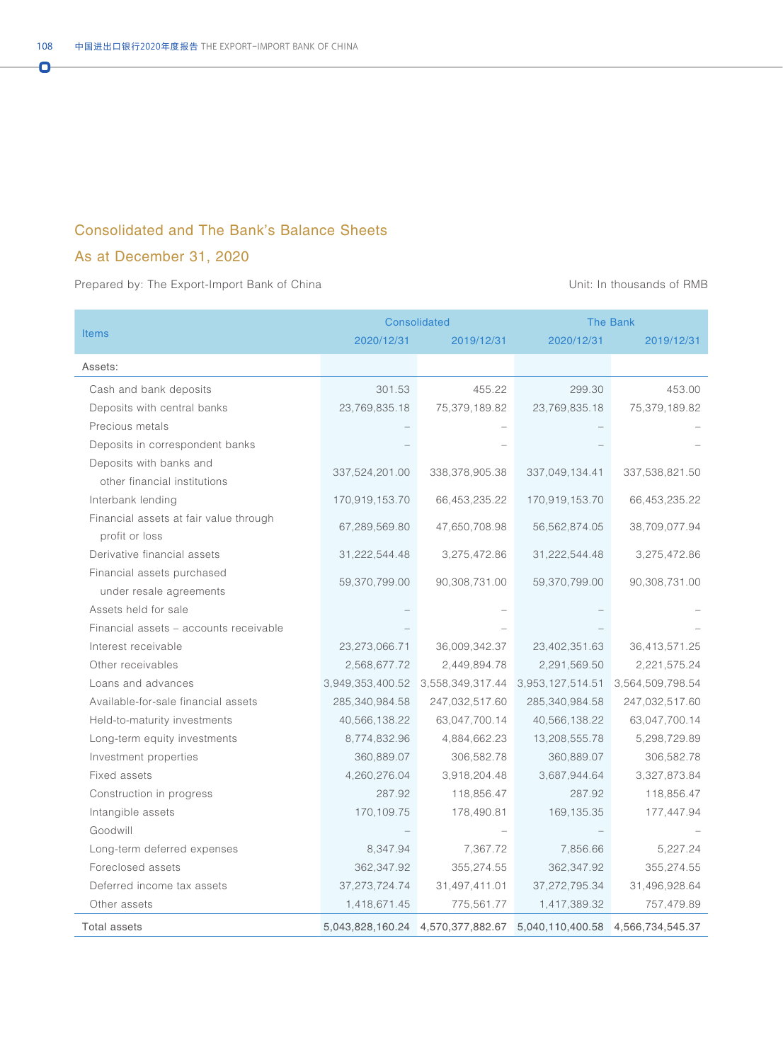#### Consolidated and The Bank's Balance Sheets

### As at December 31, 2020

Ō

|                                        |                  | Consolidated                      |                                   | The Bank         |  |
|----------------------------------------|------------------|-----------------------------------|-----------------------------------|------------------|--|
| <b>Items</b>                           | 2020/12/31       | 2019/12/31                        | 2020/12/31                        | 2019/12/31       |  |
| Assets:                                |                  |                                   |                                   |                  |  |
| Cash and bank deposits                 | 301.53           | 455.22                            | 299.30                            | 453.00           |  |
| Deposits with central banks            | 23,769,835.18    | 75,379,189.82                     | 23,769,835.18                     | 75,379,189.82    |  |
| Precious metals                        |                  |                                   |                                   |                  |  |
| Deposits in correspondent banks        |                  |                                   |                                   |                  |  |
| Deposits with banks and                |                  |                                   |                                   |                  |  |
| other financial institutions           | 337,524,201.00   | 338, 378, 905. 38                 | 337,049,134.41                    | 337,538,821.50   |  |
| Interbank lending                      | 170,919,153.70   | 66,453,235.22                     | 170,919,153.70                    | 66,453,235.22    |  |
| Financial assets at fair value through | 67,289,569.80    | 47,650,708.98                     | 56,562,874.05                     | 38,709,077.94    |  |
| profit or loss                         |                  |                                   |                                   |                  |  |
| Derivative financial assets            | 31,222,544.48    | 3,275,472.86                      | 31,222,544.48                     | 3,275,472.86     |  |
| Financial assets purchased             |                  |                                   |                                   |                  |  |
| under resale agreements                | 59,370,799.00    | 90,308,731.00                     | 59,370,799.00                     | 90,308,731.00    |  |
| Assets held for sale                   |                  |                                   |                                   |                  |  |
| Financial assets - accounts receivable |                  |                                   |                                   |                  |  |
| Interest receivable                    | 23,273,066.71    | 36,009,342.37                     | 23,402,351.63                     | 36,413,571.25    |  |
| Other receivables                      | 2,568,677.72     | 2,449,894.78                      | 2,291,569.50                      | 2,221,575.24     |  |
| Loans and advances                     | 3,949,353,400.52 | 3,558,349,317.44 3,953,127,514.51 |                                   | 3,564,509,798.54 |  |
| Available-for-sale financial assets    | 285,340,984.58   | 247,032,517.60                    | 285,340,984.58                    | 247,032,517.60   |  |
| Held-to-maturity investments           | 40,566,138.22    | 63,047,700.14                     | 40,566,138.22                     | 63,047,700.14    |  |
| Long-term equity investments           | 8,774,832.96     | 4,884,662.23                      | 13,208,555.78                     | 5,298,729.89     |  |
| Investment properties                  | 360,889.07       | 306,582.78                        | 360,889.07                        | 306,582.78       |  |
| Fixed assets                           | 4,260,276.04     | 3,918,204.48                      | 3,687,944.64                      | 3,327,873.84     |  |
| Construction in progress               | 287.92           | 118,856.47                        | 287.92                            | 118,856.47       |  |
| Intangible assets                      | 170,109.75       | 178,490.81                        | 169, 135.35                       | 177,447.94       |  |
| Goodwill                               |                  |                                   |                                   |                  |  |
| Long-term deferred expenses            | 8,347.94         | 7,367.72                          | 7,856.66                          | 5,227.24         |  |
| Foreclosed assets                      | 362,347.92       | 355,274.55                        | 362,347.92                        | 355,274.55       |  |
| Deferred income tax assets             | 37, 273, 724. 74 | 31,497,411.01                     | 37, 272, 795. 34                  | 31,496,928.64    |  |
| Other assets                           | 1,418,671.45     | 775,561.77                        | 1,417,389.32                      | 757,479.89       |  |
| <b>Total assets</b>                    |                  | 5,043,828,160.24 4,570,377,882.67 | 5,040,110,400.58 4,566,734,545.37 |                  |  |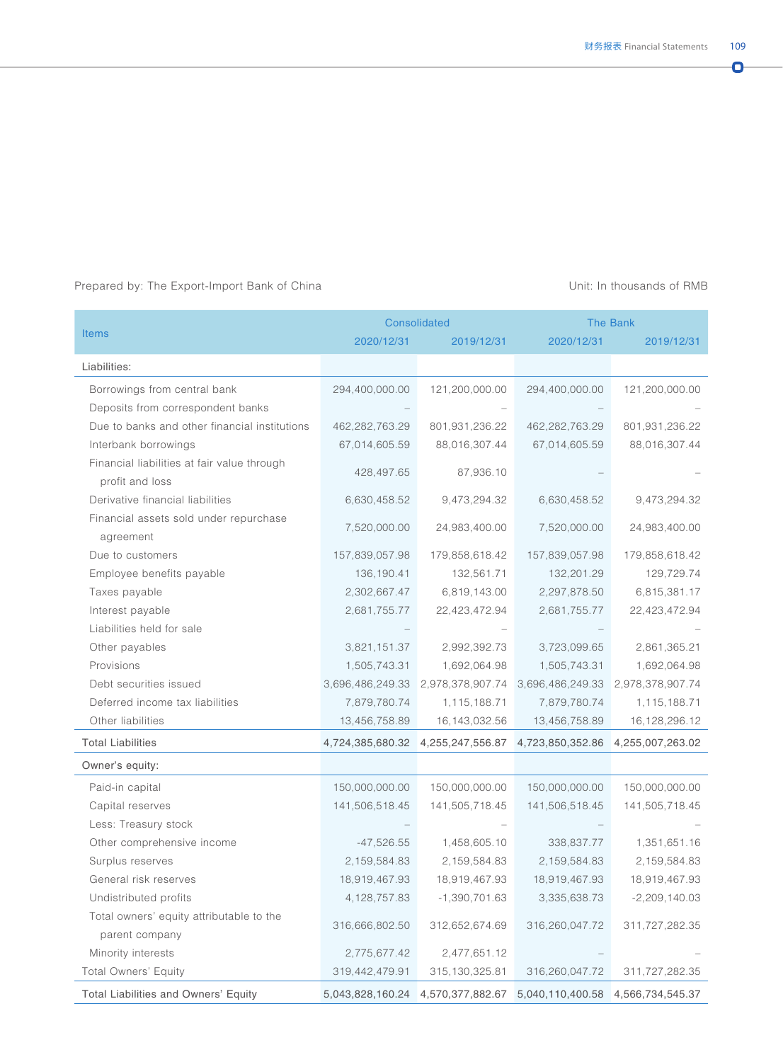Ō.

|                                               |                  | <b>Consolidated</b>               | <b>The Bank</b>  |                                   |  |
|-----------------------------------------------|------------------|-----------------------------------|------------------|-----------------------------------|--|
| <b>Items</b>                                  | 2020/12/31       | 2019/12/31                        | 2020/12/31       | 2019/12/31                        |  |
| Liabilities:                                  |                  |                                   |                  |                                   |  |
| Borrowings from central bank                  | 294,400,000.00   | 121,200,000.00                    | 294,400,000.00   | 121,200,000.00                    |  |
| Deposits from correspondent banks             |                  |                                   |                  |                                   |  |
| Due to banks and other financial institutions | 462,282,763.29   | 801,931,236.22                    | 462,282,763.29   | 801,931,236.22                    |  |
| Interbank borrowings                          | 67,014,605.59    | 88,016,307.44                     | 67,014,605.59    | 88,016,307.44                     |  |
| Financial liabilities at fair value through   |                  |                                   |                  |                                   |  |
| profit and loss                               | 428,497.65       | 87,936.10                         |                  |                                   |  |
| Derivative financial liabilities              | 6,630,458.52     | 9,473,294.32                      | 6,630,458.52     | 9,473,294.32                      |  |
| Financial assets sold under repurchase        |                  |                                   |                  |                                   |  |
| agreement                                     | 7,520,000.00     | 24,983,400.00                     | 7,520,000.00     | 24,983,400.00                     |  |
| Due to customers                              | 157,839,057.98   | 179,858,618.42                    | 157,839,057.98   | 179,858,618.42                    |  |
| Employee benefits payable                     | 136, 190.41      | 132,561.71                        | 132,201.29       | 129,729.74                        |  |
| Taxes payable                                 | 2,302,667.47     | 6,819,143.00                      | 2,297,878.50     | 6,815,381.17                      |  |
| Interest payable                              | 2,681,755.77     | 22,423,472.94                     | 2,681,755.77     | 22,423,472.94                     |  |
| Liabilities held for sale                     |                  |                                   |                  |                                   |  |
| Other payables                                | 3,821,151.37     | 2,992,392.73                      | 3,723,099.65     | 2,861,365.21                      |  |
| Provisions                                    | 1,505,743.31     | 1,692,064.98                      | 1,505,743.31     | 1,692,064.98                      |  |
| Debt securities issued                        | 3,696,486,249.33 | 2,978,378,907.74                  | 3,696,486,249.33 | 2,978,378,907.74                  |  |
| Deferred income tax liabilities               | 7,879,780.74     | 1,115,188.71                      | 7,879,780.74     | 1,115,188.71                      |  |
| Other liabilities                             | 13,456,758.89    | 16, 143, 032.56                   | 13,456,758.89    | 16,128,296.12                     |  |
| <b>Total Liabilities</b>                      | 4,724,385,680.32 | 4,255,247,556.87                  | 4,723,850,352.86 | 4,255,007,263.02                  |  |
| Owner's equity:                               |                  |                                   |                  |                                   |  |
| Paid-in capital                               | 150,000,000.00   | 150,000,000.00                    | 150,000,000.00   | 150,000,000.00                    |  |
| Capital reserves                              | 141,506,518.45   | 141,505,718.45                    | 141,506,518.45   | 141,505,718.45                    |  |
| Less: Treasury stock                          |                  |                                   |                  |                                   |  |
| Other comprehensive income                    | $-47,526.55$     | 1,458,605.10                      | 338,837.77       | 1,351,651.16                      |  |
| Surplus reserves                              | 2,159,584.83     | 2, 159, 584. 83                   | 2,159,584.83     | 2,159,584.83                      |  |
| General risk reserves                         | 18,919,467.93    | 18,919,467.93                     | 18,919,467.93    | 18,919,467.93                     |  |
| Undistributed profits                         | 4, 128, 757.83   | $-1,390,701.63$                   | 3,335,638.73     | $-2,209,140.03$                   |  |
| Total owners' equity attributable to the      |                  |                                   |                  |                                   |  |
| parent company                                | 316,666,802.50   | 312,652,674.69                    | 316,260,047.72   | 311,727,282.35                    |  |
| Minority interests                            | 2,775,677.42     | 2,477,651.12                      |                  |                                   |  |
| <b>Total Owners' Equity</b>                   | 319,442,479.91   | 315, 130, 325.81                  | 316,260,047.72   | 311,727,282.35                    |  |
| <b>Total Liabilities and Owners' Equity</b>   |                  | 5,043,828,160.24 4,570,377,882.67 |                  | 5,040,110,400.58 4,566,734,545.37 |  |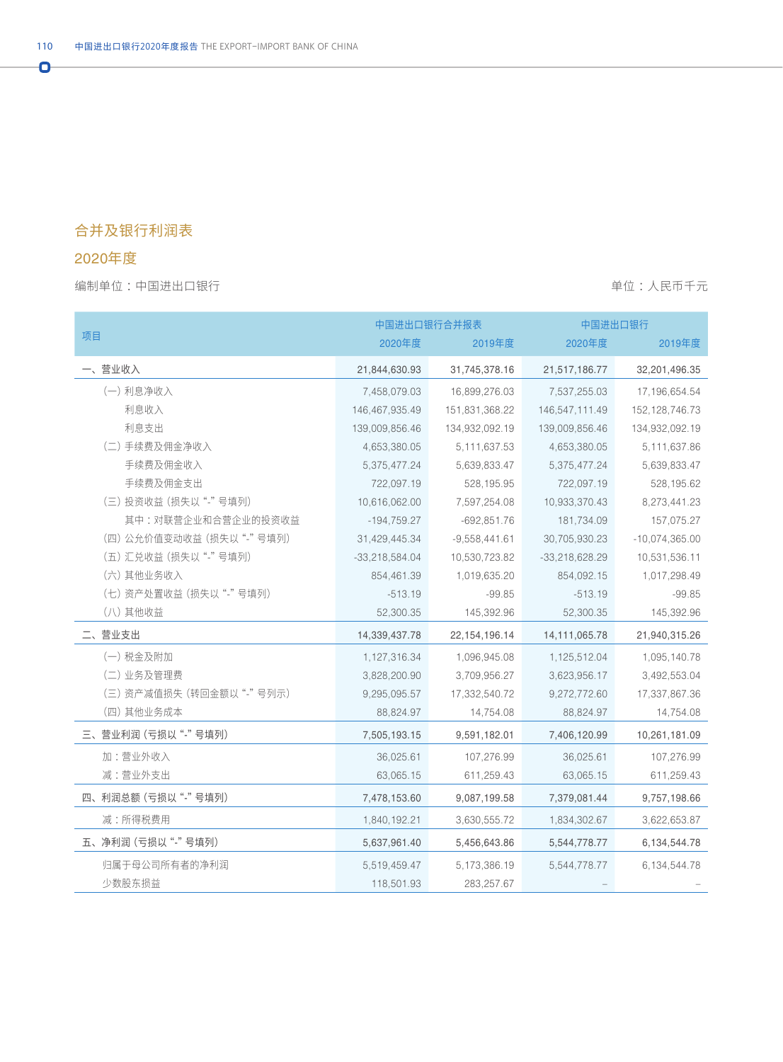## 合并及银行利润表

## 2020年度

 $\overline{\mathbf{o}}$ 

编制单位:中国进出口银行 着心的 : 我们在我们的时候,我们的时候,我们的时候,我们的时候,我们的时候,我们不会

|                          | 中国进出口银行合并报表      |                  | 中国进出口银行          |                   |
|--------------------------|------------------|------------------|------------------|-------------------|
| 项目                       | 2020年度           | 2019年度           | 2020年度           | 2019年度            |
| 一、营业收入                   | 21,844,630.93    | 31,745,378.16    | 21,517,186.77    | 32,201,496.35     |
| (一) 利息净收入                | 7,458,079.03     | 16,899,276.03    | 7,537,255.03     | 17, 196, 654. 54  |
| 利息收入                     | 146,467,935.49   | 151,831,368.22   | 146,547,111.49   | 152, 128, 746. 73 |
| 利息支出                     | 139,009,856.46   | 134,932,092.19   | 139,009,856.46   | 134,932,092.19    |
| (二) 手续费及佣金净收入            | 4,653,380.05     | 5, 111, 637.53   | 4,653,380.05     | 5,111,637.86      |
| 手续费及佣金收入                 | 5,375,477.24     | 5,639,833.47     | 5,375,477.24     | 5,639,833.47      |
| 手续费及佣金支出                 | 722,097.19       | 528,195.95       | 722,097.19       | 528,195.62        |
| (三) 投资收益 (损失以"-"号填列)     | 10,616,062.00    | 7,597,254.08     | 10,933,370.43    | 8,273,441.23      |
| 其中:对联营企业和合营企业的投资收益       | $-194,759.27$    | $-692,851.76$    | 181,734.09       | 157,075.27        |
| (四)公允价值变动收益(损失以"-"号填列)   | 31,429,445.34    | $-9,558,441.61$  | 30,705,930.23    | $-10,074,365.00$  |
| (五) 汇兑收益 (损失以"-"号填列)     | $-33,218,584.04$ | 10,530,723.82    | $-33,218,628.29$ | 10,531,536.11     |
| (六) 其他业务收入               | 854,461.39       | 1,019,635.20     | 854,092.15       | 1,017,298.49      |
| (七) 资产处置收益 (损失以"-"号填列)   | $-513.19$        | $-99.85$         | $-513.19$        | $-99.85$          |
| (八) 其他收益                 | 52,300.35        | 145,392.96       | 52,300.35        | 145,392.96        |
| 二、营业支出                   | 14,339,437.78    | 22, 154, 196. 14 | 14, 111, 065. 78 | 21,940,315.26     |
| (一) 税金及附加                | 1,127,316.34     | 1,096,945.08     | 1,125,512.04     | 1,095,140.78      |
| (二) 业务及管理费               | 3,828,200.90     | 3,709,956.27     | 3,623,956.17     | 3,492,553.04      |
| (三) 资产减值损失 (转回金额以"-"号列示) | 9,295,095.57     | 17,332,540.72    | 9,272,772.60     | 17,337,867.36     |
| (四) 其他业务成本               | 88,824.97        | 14,754.08        | 88,824.97        | 14,754.08         |
| 三、营业利润 (亏损以"-"号填列)       | 7,505,193.15     | 9,591,182.01     | 7,406,120.99     | 10,261,181.09     |
| 加:营业外收入                  | 36,025.61        | 107,276.99       | 36,025.61        | 107,276.99        |
| 减:营业外支出                  | 63,065.15        | 611,259.43       | 63,065.15        | 611,259.43        |
| 四、利润总额 (亏损以"-"号填列)       | 7,478,153.60     | 9,087,199.58     | 7,379,081.44     | 9,757,198.66      |
| 减:所得税费用                  | 1,840,192.21     | 3,630,555.72     | 1,834,302.67     | 3,622,653.87      |
| 五、净利润 (亏损以"-"号填列)        | 5,637,961.40     | 5,456,643.86     | 5,544,778.77     | 6,134,544.78      |
| 归属于母公司所有者的净利润            | 5,519,459.47     | 5,173,386.19     | 5,544,778.77     | 6,134,544.78      |
| 少数股东损益                   | 118,501.93       | 283,257.67       |                  |                   |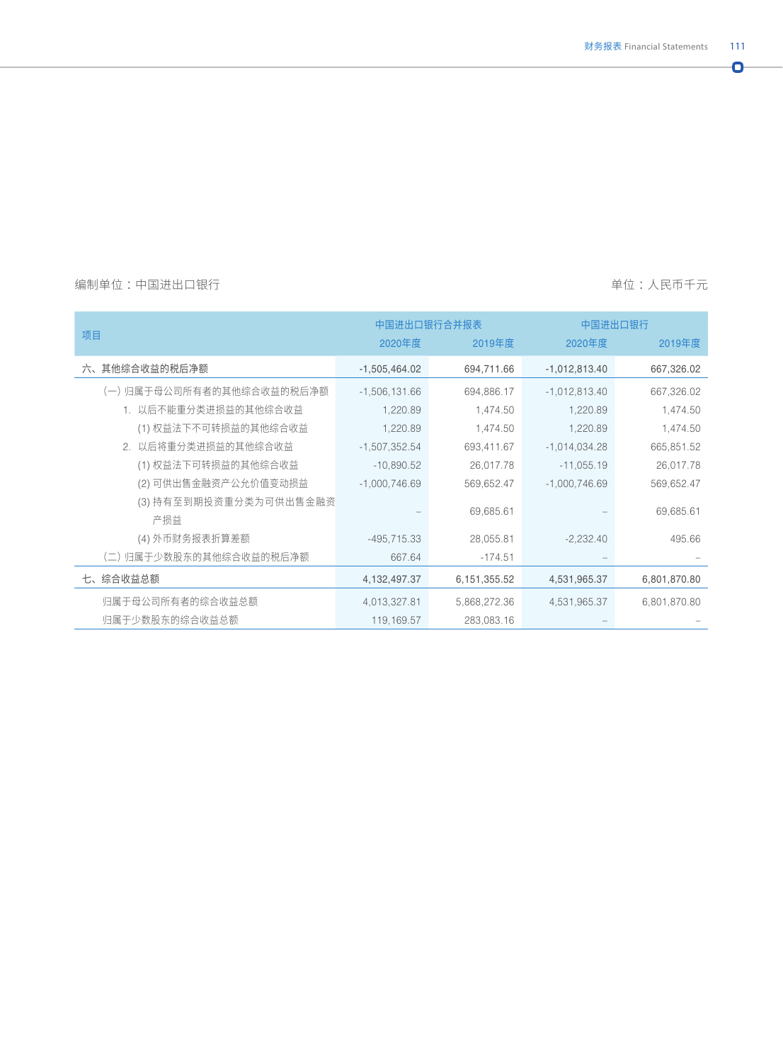$\bullet$ 

#### 编制单位:中国进出口银行 着的 的过去分词 的过去分词 医神经性 医心包的 医血管切开术 医心包的 单位:人民币千元

|                           |                 | 中国进出口银行合并报表  | 中国进出口银行         |              |
|---------------------------|-----------------|--------------|-----------------|--------------|
| 项目                        | 2020年度          | 2019年度       | 2020年度          | 2019年度       |
| 六、其他综合收益的税后净额             | $-1,505,464.02$ | 694,711.66   | $-1,012,813.40$ | 667,326.02   |
| (一) 归属于母公司所有者的其他综合收益的税后净额 | $-1,506,131.66$ | 694,886.17   | $-1,012,813.40$ | 667,326.02   |
| 1. 以后不能重分类进损益的其他综合收益      | 1,220.89        | 1,474.50     | 1,220.89        | 1,474.50     |
| (1) 权益法下不可转损益的其他综合收益      | 1,220.89        | 1,474.50     | 1,220.89        | 1,474.50     |
| 2. 以后将重分类进损益的其他综合收益       | $-1,507,352.54$ | 693,411.67   | $-1,014,034.28$ | 665,851.52   |
| (1) 权益法下可转损益的其他综合收益       | $-10,890.52$    | 26,017.78    | $-11,055.19$    | 26,017.78    |
| (2) 可供出售金融资产公允价值变动损益      | $-1,000,746.69$ | 569,652.47   | $-1,000,746.69$ | 569,652.47   |
| (3) 持有至到期投资重分类为可供出售金融资    |                 |              |                 |              |
| 产损益                       |                 | 69,685.61    |                 | 69,685.61    |
| (4)外币财务报表折算差额             | $-495, 715.33$  | 28,055.81    | $-2,232.40$     | 495.66       |
| (二) 归属于少数股东的其他综合收益的税后净额   | 667.64          | $-174.51$    |                 |              |
| 七、综合收益总额                  | 4,132,497.37    | 6,151,355.52 | 4,531,965.37    | 6,801,870.80 |
| 归属于母公司所有者的综合收益总额          | 4,013,327.81    | 5,868,272.36 | 4,531,965.37    | 6,801,870.80 |
| 归属于少数股东的综合收益总额            | 119,169.57      | 283,083.16   |                 |              |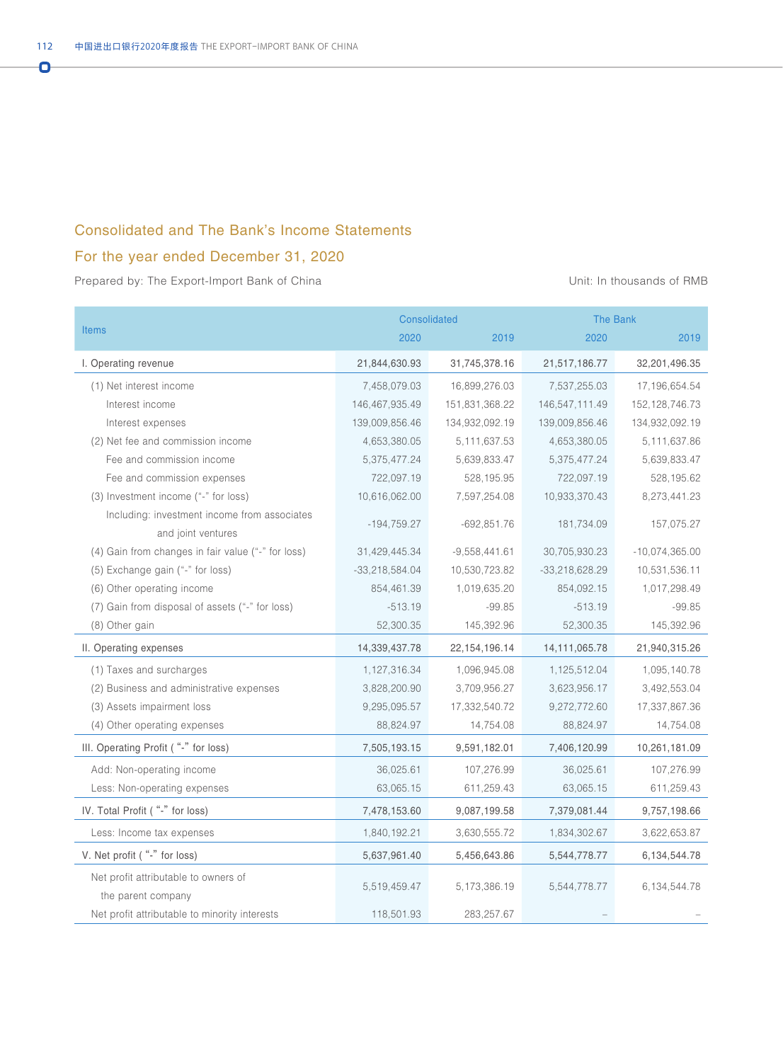#### Consolidated and The Bank's Income Statements

### For the year ended December 31, 2020

|                                                            |                  | Consolidated     | <b>The Bank</b>  |                   |
|------------------------------------------------------------|------------------|------------------|------------------|-------------------|
| <b>Items</b>                                               | 2020             | 2019             | 2020             | 2019              |
| I. Operating revenue                                       | 21,844,630.93    | 31,745,378.16    | 21,517,186.77    | 32,201,496.35     |
| (1) Net interest income                                    | 7,458,079.03     | 16,899,276.03    | 7,537,255.03     | 17,196,654.54     |
| Interest income                                            | 146,467,935.49   | 151,831,368.22   | 146,547,111.49   | 152, 128, 746. 73 |
| Interest expenses                                          | 139,009,856.46   | 134,932,092.19   | 139,009,856.46   | 134,932,092.19    |
| (2) Net fee and commission income                          | 4,653,380.05     | 5, 111, 637.53   | 4,653,380.05     | 5,111,637.86      |
| Fee and commission income                                  | 5,375,477.24     | 5,639,833.47     | 5,375,477.24     | 5,639,833.47      |
| Fee and commission expenses                                | 722,097.19       | 528,195.95       | 722,097.19       | 528,195.62        |
| (3) Investment income ("-" for loss)                       | 10,616,062.00    | 7,597,254.08     | 10,933,370.43    | 8,273,441.23      |
| Including: investment income from associates               |                  |                  |                  |                   |
| and joint ventures                                         | $-194,759.27$    | $-692,851.76$    | 181,734.09       | 157,075.27        |
| (4) Gain from changes in fair value ("-" for loss)         | 31,429,445.34    | $-9,558,441.61$  | 30,705,930.23    | $-10,074,365.00$  |
| (5) Exchange gain ("-" for loss)                           | $-33,218,584.04$ | 10,530,723.82    | $-33,218,628.29$ | 10,531,536.11     |
| (6) Other operating income                                 | 854,461.39       | 1,019,635.20     | 854,092.15       | 1,017,298.49      |
| (7) Gain from disposal of assets ("-" for loss)            | $-513.19$        | $-99.85$         | $-513.19$        | $-99.85$          |
| (8) Other gain                                             | 52,300.35        | 145,392.96       | 52,300.35        | 145,392.96        |
| II. Operating expenses                                     | 14,339,437.78    | 22, 154, 196. 14 | 14,111,065.78    | 21,940,315.26     |
| (1) Taxes and surcharges                                   | 1,127,316.34     | 1,096,945.08     | 1,125,512.04     | 1,095,140.78      |
| (2) Business and administrative expenses                   | 3,828,200.90     | 3,709,956.27     | 3,623,956.17     | 3,492,553.04      |
| (3) Assets impairment loss                                 | 9,295,095.57     | 17,332,540.72    | 9,272,772.60     | 17,337,867.36     |
| (4) Other operating expenses                               | 88,824.97        | 14,754.08        | 88,824.97        | 14,754.08         |
| III. Operating Profit ("-" for loss)                       | 7,505,193.15     | 9,591,182.01     | 7,406,120.99     | 10,261,181.09     |
| Add: Non-operating income                                  | 36,025.61        | 107,276.99       | 36,025.61        | 107,276.99        |
| Less: Non-operating expenses                               | 63,065.15        | 611,259.43       | 63,065.15        | 611,259.43        |
| IV. Total Profit ("-" for loss)                            | 7,478,153.60     | 9,087,199.58     | 7,379,081.44     | 9,757,198.66      |
| Less: Income tax expenses                                  | 1,840,192.21     | 3,630,555.72     | 1,834,302.67     | 3,622,653.87      |
| V. Net profit ("-" for loss)                               | 5,637,961.40     | 5,456,643.86     | 5,544,778.77     | 6,134,544.78      |
| Net profit attributable to owners of<br>the parent company | 5,519,459.47     | 5, 173, 386. 19  | 5,544,778.77     | 6,134,544.78      |
| Net profit attributable to minority interests              | 118,501.93       | 283,257.67       |                  |                   |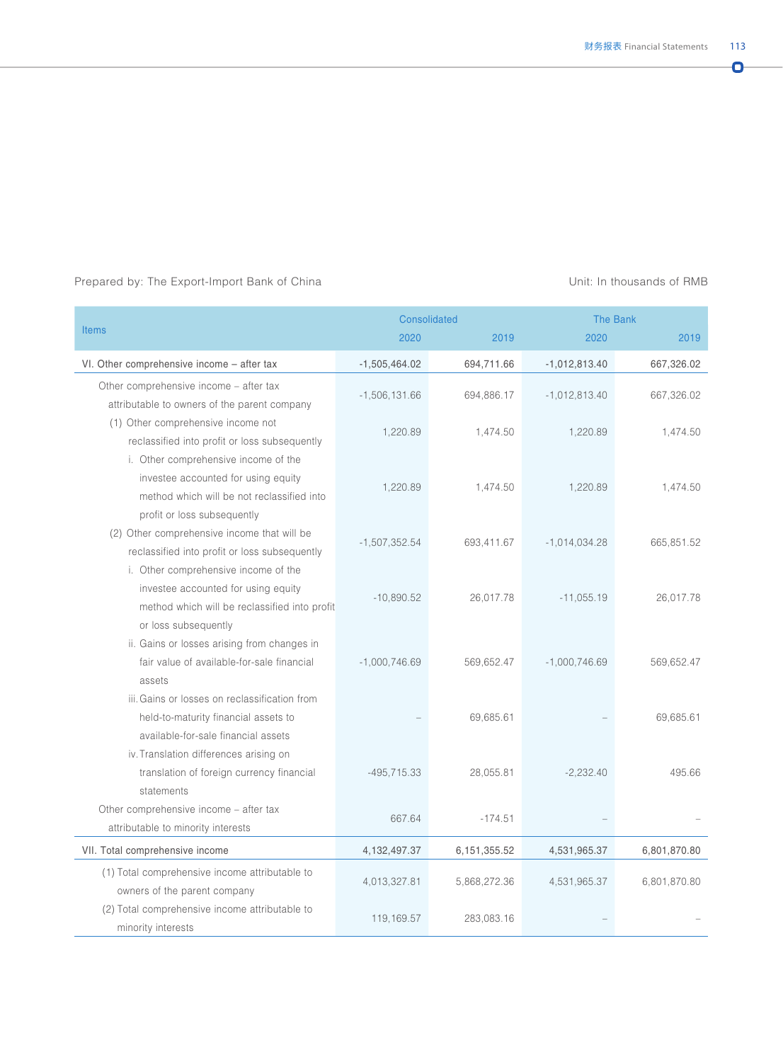|                                                                                                                                                          | <b>Consolidated</b> |              | <b>The Bank</b> |              |
|----------------------------------------------------------------------------------------------------------------------------------------------------------|---------------------|--------------|-----------------|--------------|
| <b>Items</b>                                                                                                                                             | 2020                | 2019         | 2020            | 2019         |
| VI. Other comprehensive income - after tax                                                                                                               | $-1,505,464.02$     | 694,711.66   | $-1,012,813.40$ | 667,326.02   |
| Other comprehensive income - after tax<br>attributable to owners of the parent company                                                                   | $-1,506,131.66$     | 694,886.17   | $-1,012,813.40$ | 667,326.02   |
| (1) Other comprehensive income not<br>reclassified into profit or loss subsequently                                                                      | 1,220.89            | 1,474.50     | 1,220.89        | 1,474.50     |
| i. Other comprehensive income of the<br>investee accounted for using equity<br>method which will be not reclassified into<br>profit or loss subsequently | 1,220.89            | 1,474.50     | 1,220.89        | 1,474.50     |
| (2) Other comprehensive income that will be<br>reclassified into profit or loss subsequently                                                             | $-1,507,352.54$     | 693,411.67   | $-1,014,034.28$ | 665,851.52   |
| i. Other comprehensive income of the<br>investee accounted for using equity<br>method which will be reclassified into profit<br>or loss subsequently     | $-10,890.52$        | 26,017.78    | $-11,055.19$    | 26,017.78    |
| ii. Gains or losses arising from changes in<br>fair value of available-for-sale financial<br>assets                                                      | $-1,000,746.69$     | 569,652.47   | $-1,000,746.69$ | 569,652.47   |
| iii. Gains or losses on reclassification from<br>held-to-maturity financial assets to<br>available-for-sale financial assets                             |                     | 69,685.61    |                 | 69,685.61    |
| iv. Translation differences arising on<br>translation of foreign currency financial<br>statements                                                        | $-495,715.33$       | 28,055.81    | $-2,232.40$     | 495.66       |
| Other comprehensive income - after tax<br>attributable to minority interests                                                                             | 667.64              | $-174.51$    |                 |              |
| VII. Total comprehensive income                                                                                                                          | 4,132,497.37        | 6,151,355.52 | 4,531,965.37    | 6,801,870.80 |
| (1) Total comprehensive income attributable to<br>owners of the parent company                                                                           | 4,013,327.81        | 5,868,272.36 | 4,531,965.37    | 6,801,870.80 |
| (2) Total comprehensive income attributable to<br>minority interests                                                                                     | 119,169.57          | 283,083.16   |                 |              |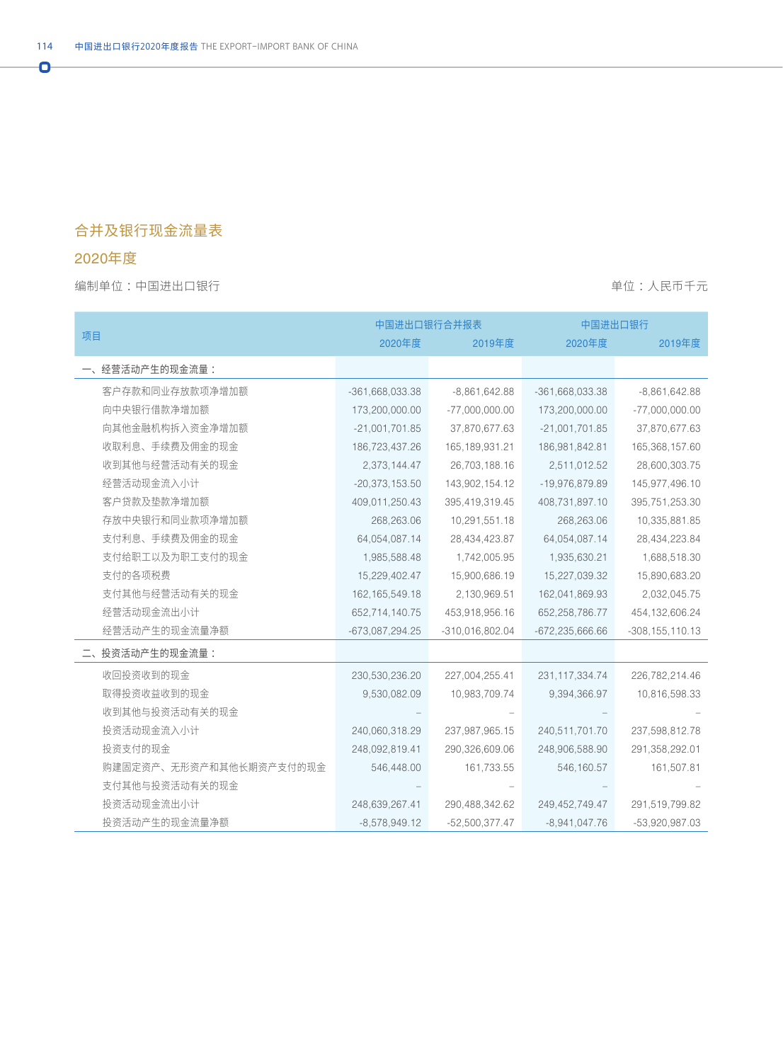## 合并及银行现金流量表

## 2020年度

 $\overline{\mathbf{o}}$ 

编制单位:中国进出口银行 着心的 : 我们在我们的时候,我们的时候,我们的时候,我们的时候,我们的时候,我们不会

|                         |                   | 中国进出口银行合并报表       | 中国进出口银行             |                     |
|-------------------------|-------------------|-------------------|---------------------|---------------------|
| 项目                      | 2020年度            | 2019年度            | 2020年度              | 2019年度              |
| 一、经营活动产生的现金流量:          |                   |                   |                     |                     |
| 客户存款和同业存放款项净增加额         | -361,668,033.38   | $-8,861,642.88$   | $-361,668,033.38$   | $-8,861,642.88$     |
| 向中央银行借款净增加额             | 173,200,000.00    | $-77,000,000.00$  | 173,200,000.00      | $-77,000,000.00$    |
| 向其他金融机构拆入资金净增加额         | $-21,001,701.85$  | 37,870,677.63     | $-21,001,701.85$    | 37,870,677.63       |
| 收取利息、手续费及佣金的现金          | 186,723,437.26    | 165, 189, 931. 21 | 186,981,842.81      | 165,368,157.60      |
| 收到其他与经营活动有关的现金          | 2,373,144.47      | 26,703,188.16     | 2,511,012.52        | 28,600,303.75       |
| 经营活动现金流入小计              | $-20,373,153.50$  | 143,902,154.12    | -19,976,879.89      | 145,977,496.10      |
| 客户贷款及垫款净增加额             | 409,011,250.43    | 395,419,319.45    | 408,731,897.10      | 395,751,253.30      |
| 存放中央银行和同业款项净增加额         | 268,263.06        | 10,291,551.18     | 268,263.06          | 10,335,881.85       |
| 支付利息、手续费及佣金的现金          | 64,054,087.14     | 28,434,423.87     | 64,054,087.14       | 28,434,223.84       |
| 支付给职工以及为职工支付的现金         | 1,985,588.48      | 1,742,005.95      | 1,935,630.21        | 1,688,518.30        |
| 支付的各项税费                 | 15,229,402.47     | 15,900,686.19     | 15,227,039.32       | 15,890,683.20       |
| 支付其他与经营活动有关的现金          | 162, 165, 549. 18 | 2,130,969.51      | 162,041,869.93      | 2,032,045.75        |
| 经营活动现金流出小计              | 652,714,140.75    | 453,918,956.16    | 652,258,786.77      | 454, 132, 606. 24   |
| 经营活动产生的现金流量净额           | $-673,087,294.25$ | $-310,016,802.04$ | $-672, 235, 666.66$ | $-308, 155, 110.13$ |
| 投资活动产生的现金流量:            |                   |                   |                     |                     |
| 收回投资收到的现金               | 230,530,236.20    | 227,004,255.41    | 231, 117, 334. 74   | 226,782,214.46      |
| 取得投资收益收到的现金             | 9,530,082.09      | 10,983,709.74     | 9,394,366.97        | 10,816,598.33       |
| 收到其他与投资活动有关的现金          |                   |                   |                     |                     |
| 投资活动现金流入小计              | 240,060,318.29    | 237,987,965.15    | 240,511,701.70      | 237,598,812.78      |
| 投资支付的现金                 | 248,092,819.41    | 290,326,609.06    | 248,906,588.90      | 291,358,292.01      |
| 购建固定资产、无形资产和其他长期资产支付的现金 | 546,448.00        | 161,733.55        | 546,160.57          | 161,507.81          |
| 支付其他与投资活动有关的现金          |                   |                   |                     |                     |
| 投资活动现金流出小计              | 248,639,267.41    | 290,488,342.62    | 249,452,749.47      | 291,519,799.82      |
| 投资活动产生的现金流量净额           | $-8,578,949.12$   | $-52,500,377.47$  | $-8,941,047.76$     | $-53,920,987.03$    |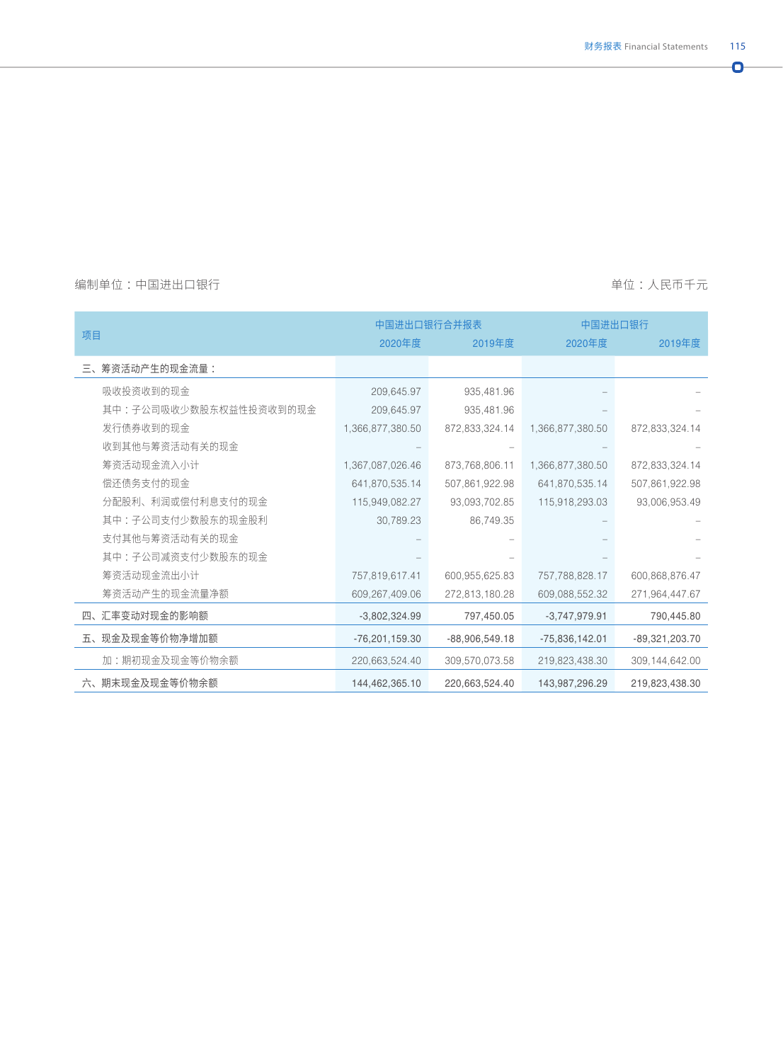$\bullet$ 

#### 编制单位:中国进出口银行 着的 的过去分词 的过去分词 医神经性 医心包的 医血管切开术 医心包的 单位:人民币千元

|                        |                  | 中国进出口银行合并报表      |                  | 中国进出口银行          |  |
|------------------------|------------------|------------------|------------------|------------------|--|
| 项目                     | 2020年度           | 2019年度           | 2020年度           | 2019年度           |  |
| 三、筹资活动产生的现金流量:         |                  |                  |                  |                  |  |
| 吸收投资收到的现金              | 209,645.97       | 935,481.96       |                  |                  |  |
| 其中:子公司吸收少数股东权益性投资收到的现金 | 209,645.97       | 935,481.96       |                  |                  |  |
| 发行债券收到的现金              | 1,366,877,380.50 | 872,833,324.14   | 1,366,877,380.50 | 872,833,324.14   |  |
| 收到其他与筹资活动有关的现金         |                  |                  |                  |                  |  |
| 筹资活动现金流入小计             | 1,367,087,026.46 | 873,768,806.11   | 1,366,877,380.50 | 872,833,324.14   |  |
| 偿还债务支付的现金              | 641,870,535.14   | 507,861,922.98   | 641,870,535.14   | 507,861,922.98   |  |
| 分配股利、利润或偿付利息支付的现金      | 115,949,082.27   | 93,093,702.85    | 115,918,293.03   | 93,006,953.49    |  |
| 其中:子公司支付少数股东的现金股利      | 30,789.23        | 86,749.35        |                  |                  |  |
| 支付其他与筹资活动有关的现金         |                  |                  |                  |                  |  |
| 其中:子公司减资支付少数股东的现金      |                  |                  |                  |                  |  |
| 筹资活动现金流出小计             | 757,819,617.41   | 600,955,625.83   | 757,788,828.17   | 600,868,876.47   |  |
| 筹资活动产生的现金流量净额          | 609, 267, 409.06 | 272,813,180.28   | 609,088,552.32   | 271,964,447.67   |  |
| 四、汇率变动对现金的影响额          | $-3,802,324.99$  | 797,450.05       | $-3,747,979.91$  | 790,445.80       |  |
| 五、现金及现金等价物净增加额         | $-76,201,159.30$ | $-88,906,549.18$ | $-75,836,142.01$ | -89,321,203.70   |  |
| 加:期初现金及现金等价物余额         | 220,663,524.40   | 309,570,073.58   | 219,823,438.30   | 309, 144, 642.00 |  |
| 六、期末现金及现金等价物余额         | 144,462,365.10   | 220,663,524.40   | 143,987,296.29   | 219,823,438.30   |  |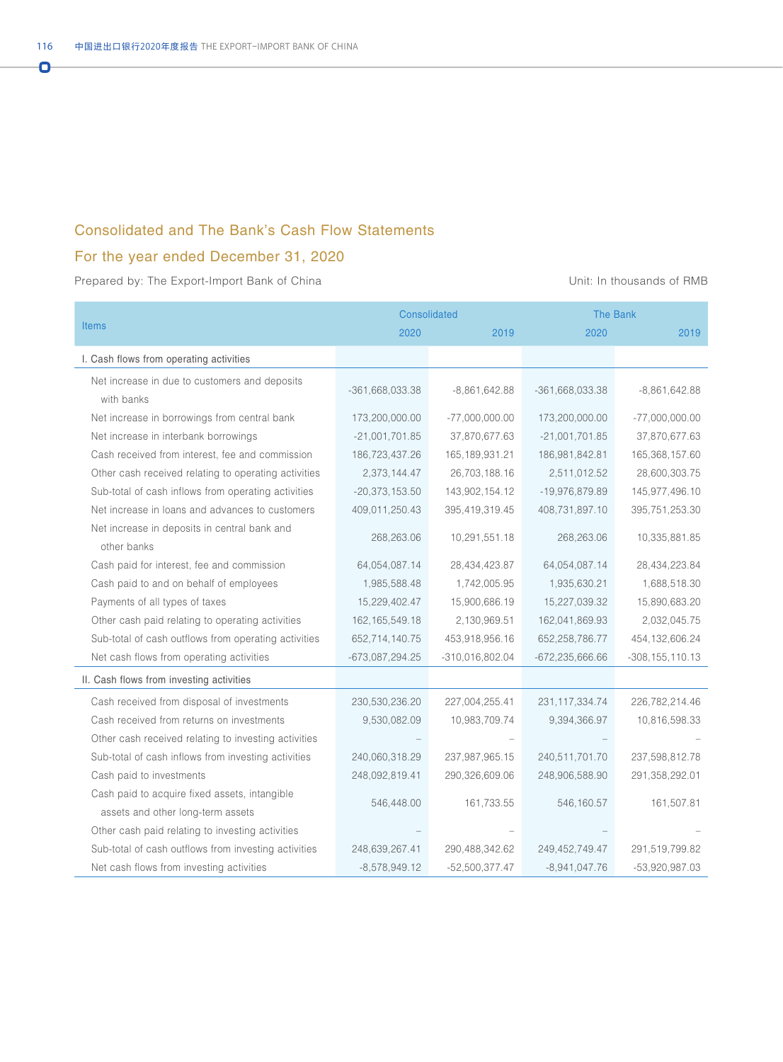#### Consolidated and The Bank's Cash Flow Statements

### For the year ended December 31, 2020

|                                                             | <b>Consolidated</b> |                   | <b>The Bank</b>     |                     |
|-------------------------------------------------------------|---------------------|-------------------|---------------------|---------------------|
| <b>Items</b>                                                | 2020                | 2019              | 2020                | 2019                |
| I. Cash flows from operating activities                     |                     |                   |                     |                     |
| Net increase in due to customers and deposits<br>with banks | $-361,668,033.38$   | $-8,861,642.88$   | $-361,668,033.38$   | $-8,861,642.88$     |
| Net increase in borrowings from central bank                | 173,200,000.00      | $-77,000,000.00$  | 173,200,000.00      | $-77,000,000.00$    |
| Net increase in interbank borrowings                        | $-21,001,701.85$    | 37,870,677.63     | $-21,001,701.85$    | 37,870,677.63       |
| Cash received from interest, fee and commission             | 186,723,437.26      | 165, 189, 931. 21 | 186,981,842.81      | 165,368,157.60      |
| Other cash received relating to operating activities        | 2,373,144.47        | 26,703,188.16     | 2,511,012.52        | 28,600,303.75       |
| Sub-total of cash inflows from operating activities         | $-20,373,153.50$    | 143,902,154.12    | $-19,976,879.89$    | 145,977,496.10      |
| Net increase in loans and advances to customers             | 409,011,250.43      | 395,419,319.45    | 408,731,897.10      | 395,751,253.30      |
| Net increase in deposits in central bank and<br>other banks | 268,263.06          | 10,291,551.18     | 268,263.06          | 10,335,881.85       |
| Cash paid for interest, fee and commission                  | 64,054,087.14       | 28,434,423.87     | 64,054,087.14       | 28,434,223.84       |
| Cash paid to and on behalf of employees                     | 1,985,588.48        | 1,742,005.95      | 1,935,630.21        | 1,688,518.30        |
| Payments of all types of taxes                              | 15,229,402.47       | 15,900,686.19     | 15,227,039.32       | 15,890,683.20       |
| Other cash paid relating to operating activities            | 162, 165, 549. 18   | 2,130,969.51      | 162,041,869.93      | 2,032,045.75        |
| Sub-total of cash outflows from operating activities        | 652,714,140.75      | 453,918,956.16    | 652,258,786.77      | 454, 132, 606.24    |
| Net cash flows from operating activities                    | $-673,087,294.25$   | $-310,016,802.04$ | $-672, 235, 666.66$ | $-308, 155, 110.13$ |
| II. Cash flows from investing activities                    |                     |                   |                     |                     |
| Cash received from disposal of investments                  | 230,530,236.20      | 227,004,255.41    | 231, 117, 334. 74   | 226,782,214.46      |
| Cash received from returns on investments                   | 9,530,082.09        | 10,983,709.74     | 9,394,366.97        | 10,816,598.33       |
| Other cash received relating to investing activities        |                     |                   |                     |                     |
| Sub-total of cash inflows from investing activities         | 240,060,318.29      | 237,987,965.15    | 240,511,701.70      | 237,598,812.78      |
| Cash paid to investments                                    | 248,092,819.41      | 290,326,609.06    | 248,906,588.90      | 291,358,292.01      |
| Cash paid to acquire fixed assets, intangible               |                     |                   |                     |                     |
| assets and other long-term assets                           | 546,448.00          | 161,733.55        | 546,160.57          | 161,507.81          |
| Other cash paid relating to investing activities            |                     |                   |                     |                     |
| Sub-total of cash outflows from investing activities        | 248,639,267.41      | 290,488,342.62    | 249, 452, 749. 47   | 291,519,799.82      |
| Net cash flows from investing activities                    | $-8,578,949.12$     | $-52,500,377.47$  | $-8,941,047.76$     | $-53,920,987.03$    |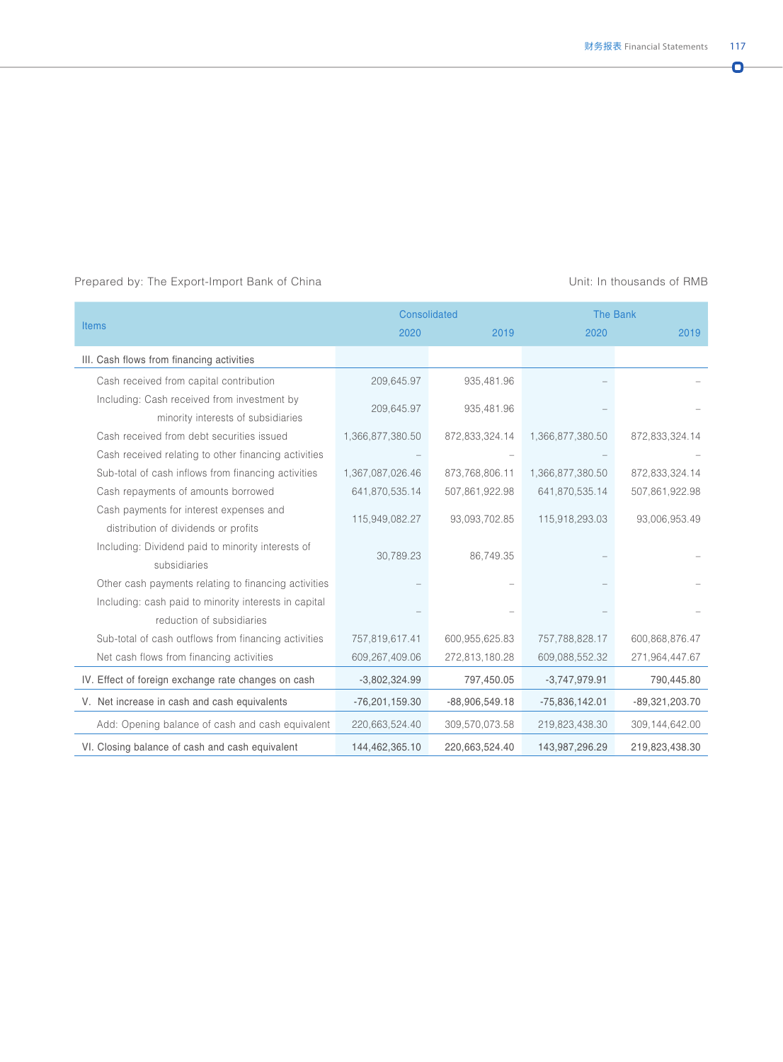|                                                       |                  | <b>Consolidated</b> |                  | The Bank         |  |
|-------------------------------------------------------|------------------|---------------------|------------------|------------------|--|
| <b>Items</b>                                          | 2020             | 2019                | 2020             | 2019             |  |
| III. Cash flows from financing activities             |                  |                     |                  |                  |  |
| Cash received from capital contribution               | 209,645.97       | 935,481.96          |                  |                  |  |
| Including: Cash received from investment by           | 209,645.97       | 935,481.96          |                  |                  |  |
| minority interests of subsidiaries                    |                  |                     |                  |                  |  |
| Cash received from debt securities issued             | 1,366,877,380.50 | 872,833,324.14      | 1,366,877,380.50 | 872,833,324.14   |  |
| Cash received relating to other financing activities  |                  |                     |                  |                  |  |
| Sub-total of cash inflows from financing activities   | 1,367,087,026.46 | 873,768,806.11      | 1,366,877,380.50 | 872,833,324.14   |  |
| Cash repayments of amounts borrowed                   | 641,870,535.14   | 507,861,922.98      | 641,870,535.14   | 507,861,922.98   |  |
| Cash payments for interest expenses and               | 115,949,082.27   | 93,093,702.85       | 115,918,293.03   | 93,006,953.49    |  |
| distribution of dividends or profits                  |                  |                     |                  |                  |  |
| Including: Dividend paid to minority interests of     | 30,789.23        | 86,749.35           |                  |                  |  |
| subsidiaries                                          |                  |                     |                  |                  |  |
| Other cash payments relating to financing activities  |                  |                     |                  |                  |  |
| Including: cash paid to minority interests in capital |                  |                     |                  |                  |  |
| reduction of subsidiaries                             |                  |                     |                  |                  |  |
| Sub-total of cash outflows from financing activities  | 757,819,617.41   | 600,955,625.83      | 757,788,828.17   | 600,868,876.47   |  |
| Net cash flows from financing activities              | 609,267,409.06   | 272,813,180.28      | 609,088,552.32   | 271,964,447.67   |  |
| IV. Effect of foreign exchange rate changes on cash   | $-3,802,324.99$  | 797,450.05          | $-3,747,979.91$  | 790,445.80       |  |
| V. Net increase in cash and cash equivalents          | $-76,201,159.30$ | $-88,906,549.18$    | $-75,836,142.01$ | $-89,321,203.70$ |  |
| Add: Opening balance of cash and cash equivalent      | 220,663,524.40   | 309,570,073.58      | 219,823,438.30   | 309,144,642.00   |  |
| VI. Closing balance of cash and cash equivalent       | 144,462,365.10   | 220,663,524.40      | 143,987,296.29   | 219,823,438.30   |  |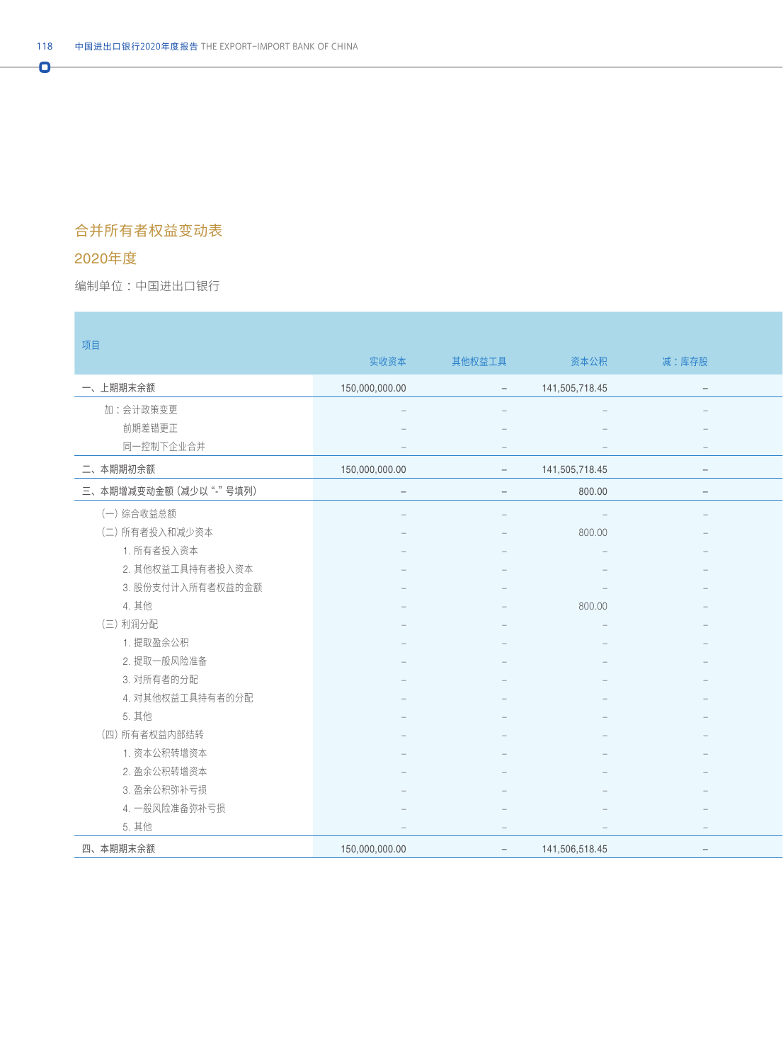## 合并所有者权益变动表

## 2020年度

Ō

编制单位:中国进出口银行 : All and the second state of the second state of the second state of the second state of the second state of the second state of the second state of the second state of the second state of the second state o

| 项目                     |                                 |                                 |                                 |                                 |
|------------------------|---------------------------------|---------------------------------|---------------------------------|---------------------------------|
|                        | 实收资本                            | 其他权益工具                          | 资本公积                            | 减:库存股                           |
| 一、上期期末余额               | 150,000,000.00                  | $\sim$                          | 141,505,718.45                  | $\hspace{0.1mm}-\hspace{0.1mm}$ |
| 加:会计政策变更               |                                 |                                 |                                 | $\hspace{0.1mm}-\hspace{0.1mm}$ |
| 前期差错更正                 |                                 |                                 |                                 |                                 |
| 同一控制下企业合并              |                                 | $\hspace{0.1mm}-\hspace{0.1mm}$ |                                 | $-$                             |
| 二、本期期初余额               | 150,000,000.00                  | $-$                             | 141,505,718.45                  | $\overline{\phantom{a}}$        |
| 三、本期增减变动金额 (减少以"-"号填列) | $\hspace{0.1mm}-\hspace{0.1mm}$ | $\overline{\phantom{a}}$        | 800.00                          | $\hspace{0.1mm}-\hspace{0.1mm}$ |
| (一)综合收益总额              |                                 |                                 |                                 |                                 |
| (二) 所有者投入和减少资本         |                                 |                                 | 800.00                          |                                 |
| 1. 所有者投入资本             |                                 |                                 |                                 |                                 |
| 2. 其他权益工具持有者投入资本       |                                 |                                 |                                 |                                 |
| 3. 股份支付计入所有者权益的金额      |                                 |                                 |                                 |                                 |
| 4. 其他                  |                                 |                                 | 800.00                          |                                 |
| (三)利润分配                |                                 |                                 |                                 |                                 |
| 1. 提取盈余公积              |                                 |                                 |                                 |                                 |
| 2. 提取一般风险准备            |                                 |                                 |                                 |                                 |
| 3. 对所有者的分配             |                                 |                                 |                                 |                                 |
| 4. 对其他权益工具持有者的分配       |                                 |                                 |                                 |                                 |
| 5. 其他                  |                                 |                                 |                                 |                                 |
| (四) 所有者权益内部结转          |                                 |                                 |                                 |                                 |
| 1. 资本公积转增资本            |                                 |                                 |                                 |                                 |
| 2. 盈余公积转增资本            |                                 |                                 |                                 |                                 |
| 3. 盈余公积弥补亏损            |                                 |                                 |                                 |                                 |
| 4. 一般风险准备弥补亏损          |                                 |                                 |                                 |                                 |
| 5. 其他                  | $\hspace{0.1mm}-\hspace{0.1mm}$ | $\sim$                          | $\hspace{0.1mm}-\hspace{0.1mm}$ | $\sim$                          |
| 四、本期期末余额               | 150,000,000.00                  | $\sim$                          | 141,506,518.45                  | $\sim$                          |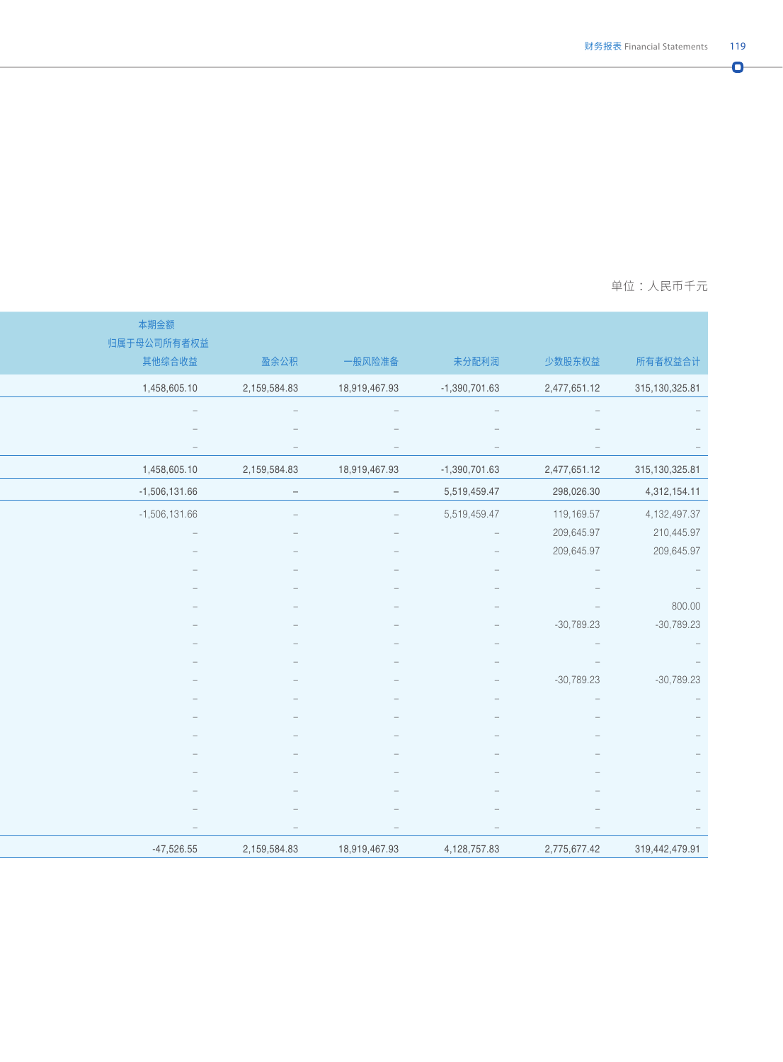$\overline{\mathbf{o}}$ 

#### 编制单位 :中国进出口银行 单位 :人民币千元

|                                                          |                                                 |                          |                          |                   | 本期金额                            |
|----------------------------------------------------------|-------------------------------------------------|--------------------------|--------------------------|-------------------|---------------------------------|
|                                                          |                                                 |                          |                          |                   | 归属于母公司所有者权益                     |
| 所有者权益合计                                                  | 少数股东权益                                          | 未分配利润                    | 一般风险准备                   | 盈余公积              | 其他综合收益                          |
| 315, 130, 325.81                                         | 2,477,651.12                                    | $-1,390,701.63$          | 18,919,467.93            | 2,159,584.83      | 1,458,605.10                    |
|                                                          |                                                 |                          |                          |                   |                                 |
|                                                          |                                                 |                          |                          |                   |                                 |
|                                                          |                                                 |                          |                          |                   |                                 |
| 315,130,325.81                                           | 2,477,651.12                                    | $-1,390,701.63$          | 18,919,467.93            | 2,159,584.83      | 1,458,605.10                    |
| 4,312,154.11                                             | 298,026.30                                      | 5,519,459.47             | $\overline{\phantom{a}}$ | $\qquad \qquad -$ | $-1,506,131.66$                 |
| 4, 132, 497.37                                           | 119,169.57                                      | 5,519,459.47             | $\sim$                   |                   | $-1,506,131.66$                 |
| 210,445.97                                               | 209,645.97                                      | $\hspace{0.1cm} -$       |                          |                   |                                 |
| 209,645.97                                               | 209,645.97                                      |                          |                          |                   |                                 |
|                                                          | $\hspace{0.1mm}-\hspace{0.1mm}$                 |                          |                          |                   |                                 |
|                                                          |                                                 |                          |                          |                   |                                 |
| 800.00                                                   |                                                 |                          |                          |                   |                                 |
| $-30,789.23$                                             | $-30,789.23$<br>$\hspace{0.1mm}-\hspace{0.1mm}$ |                          |                          |                   |                                 |
| $\mathcal{L}=\mathcal{L}$<br>$\mathcal{L} = \mathcal{L}$ | $\hspace{0.1mm}-\hspace{0.1mm}$                 |                          |                          |                   |                                 |
| $-30,789.23$                                             | $-30,789.23$                                    |                          |                          |                   |                                 |
|                                                          |                                                 |                          |                          |                   |                                 |
|                                                          |                                                 |                          |                          |                   |                                 |
|                                                          |                                                 |                          |                          |                   |                                 |
|                                                          |                                                 |                          |                          |                   |                                 |
|                                                          |                                                 |                          |                          |                   |                                 |
|                                                          |                                                 |                          |                          |                   |                                 |
|                                                          |                                                 | $\overline{\phantom{a}}$ |                          |                   | $\hspace{0.1mm}-\hspace{0.1mm}$ |
|                                                          |                                                 |                          |                          |                   |                                 |
| 319,442,479.91                                           | 2,775,677.42                                    | 4,128,757.83             | 18,919,467.93            | 2,159,584.83      | $-47,526.55$                    |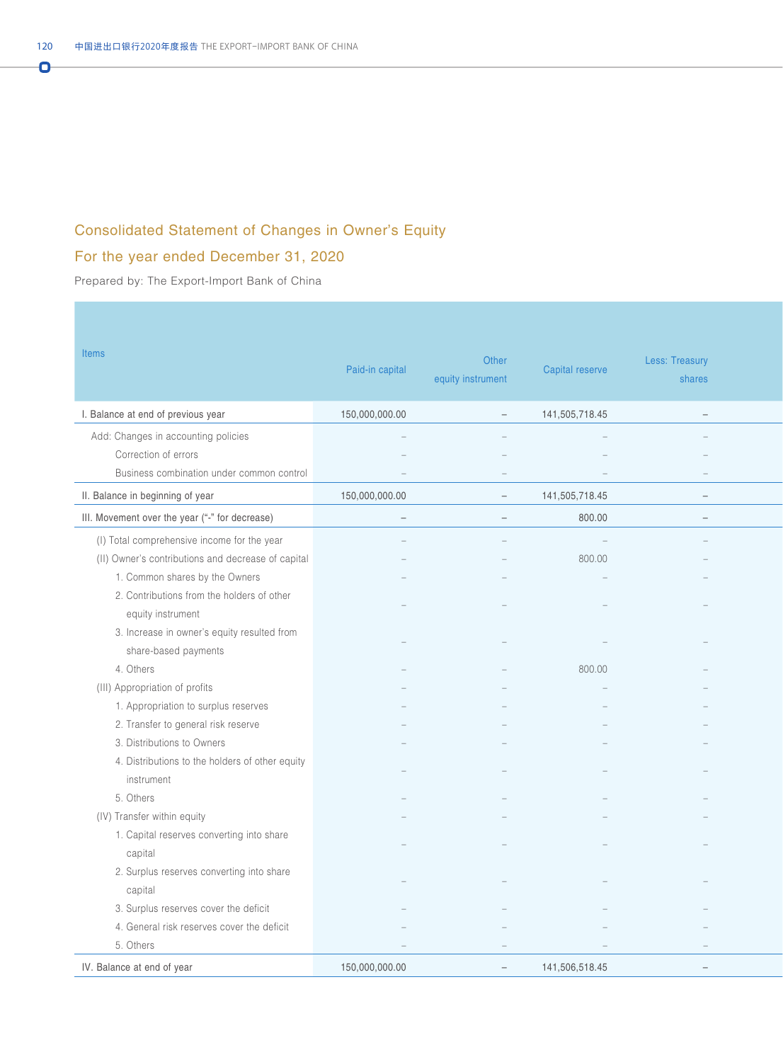## Consolidated Statement of Changes in Owner's Equity

## For the year ended December 31, 2020

Prepared by: The Export-Import Bank of China

| <b>Items</b>                                       | Paid-in capital                 | Other<br>equity instrument | Capital reserve | Less: Treasury<br>shares |
|----------------------------------------------------|---------------------------------|----------------------------|-----------------|--------------------------|
| I. Balance at end of previous year                 | 150,000,000.00                  | $\overline{\phantom{0}}$   | 141,505,718.45  | $\equiv$                 |
| Add: Changes in accounting policies                | $\sim$                          |                            |                 |                          |
| Correction of errors                               |                                 |                            |                 |                          |
| Business combination under common control          |                                 |                            |                 |                          |
| II. Balance in beginning of year                   | 150,000,000.00                  | $\overline{\phantom{a}}$   | 141,505,718.45  | $\overline{\phantom{a}}$ |
| III. Movement over the year ("-" for decrease)     | $\hspace{0.1mm}-\hspace{0.1mm}$ | $\overline{\phantom{0}}$   | 800.00          | $-$                      |
| (I) Total comprehensive income for the year        |                                 |                            | $\sim$ $-$      |                          |
| (II) Owner's contributions and decrease of capital |                                 |                            | 800.00          |                          |
| 1. Common shares by the Owners                     |                                 |                            |                 |                          |
| 2. Contributions from the holders of other         |                                 |                            |                 |                          |
| equity instrument                                  |                                 |                            |                 |                          |
| 3. Increase in owner's equity resulted from        |                                 |                            |                 |                          |
| share-based payments                               |                                 |                            |                 |                          |
| 4. Others                                          |                                 |                            | 800.00          |                          |
| (III) Appropriation of profits                     |                                 |                            |                 |                          |
| 1. Appropriation to surplus reserves               |                                 |                            |                 |                          |
| 2. Transfer to general risk reserve                |                                 |                            |                 |                          |
| 3. Distributions to Owners                         |                                 |                            |                 |                          |
| 4. Distributions to the holders of other equity    |                                 |                            |                 |                          |
| instrument                                         |                                 |                            |                 |                          |
| 5. Others                                          |                                 |                            |                 |                          |
| (IV) Transfer within equity                        |                                 |                            |                 |                          |
| 1. Capital reserves converting into share          |                                 |                            |                 |                          |
| capital                                            |                                 |                            |                 |                          |
| 2. Surplus reserves converting into share          |                                 |                            |                 |                          |
| capital                                            |                                 |                            |                 |                          |
| 3. Surplus reserves cover the deficit              |                                 |                            |                 |                          |
| 4. General risk reserves cover the deficit         |                                 |                            |                 |                          |
| 5. Others                                          |                                 |                            |                 |                          |
| IV. Balance at end of year                         | 150,000,000.00                  | $\equiv$                   | 141,506,518.45  | $\overline{\phantom{a}}$ |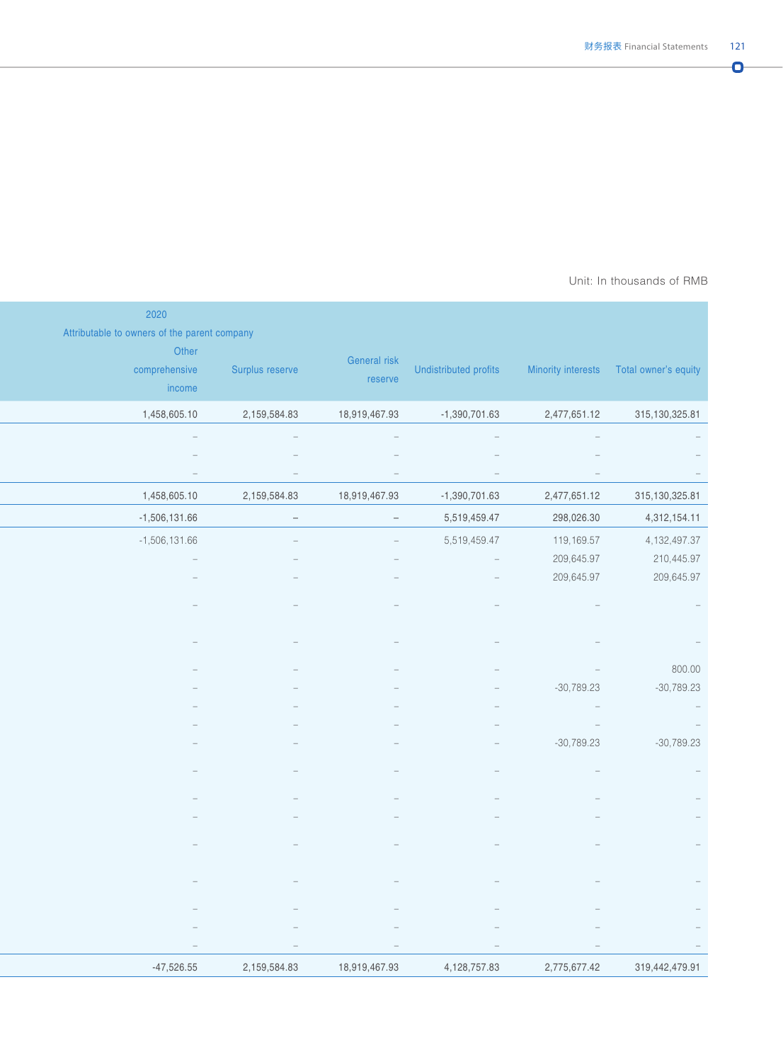#### Prepared by: The Export-Importance Bank of AMB Unit: In thousands of RMB  $\,$

|                                                              |                                 |                                 |                                 | 2020<br>Attributable to owners of the parent company |
|--------------------------------------------------------------|---------------------------------|---------------------------------|---------------------------------|------------------------------------------------------|
| Minority interests  Total owner's equity                     | Undistributed profits           | General risk<br>reserve         | Surplus reserve                 | Other<br>comprehensive<br>income                     |
| 315,130,325.81<br>2,477,651.12                               | $-1,390,701.63$                 | 18,919,467.93                   | 2,159,584.83                    | 1,458,605.10                                         |
| $\hspace{0.1mm}$                                             | $\hspace{0.1mm}-\hspace{0.1mm}$ | $\hspace{0.1mm}$                | $\hspace{0.1mm}-\hspace{0.1mm}$ | $\sim$                                               |
|                                                              |                                 |                                 |                                 |                                                      |
| $\hspace{0.1mm}$                                             | $\hspace{0.1mm}-\hspace{0.1mm}$ | $\sim$                          | $\hspace{0.1mm}-\hspace{0.1mm}$ | $\sim$                                               |
| 315,130,325.81<br>2,477,651.12<br>298,026.30<br>4,312,154.11 | $-1,390,701.63$<br>5,519,459.47 | 18,919,467.93                   | 2,159,584.83                    | 1,458,605.10<br>$-1,506,131.66$                      |
| 119,169.57<br>4, 132, 497.37                                 | 5,519,459.47                    | $\sim$<br>$\sim$                | $\hspace{0.1mm}-\hspace{0.1mm}$ | $-1,506,131.66$                                      |
| 209,645.97<br>210,445.97                                     | $\mathcal{L}=\mathcal{L}$       |                                 |                                 |                                                      |
| 209,645.97                                                   |                                 |                                 |                                 |                                                      |
|                                                              |                                 |                                 |                                 |                                                      |
|                                                              |                                 |                                 |                                 |                                                      |
|                                                              |                                 |                                 |                                 |                                                      |
| $\hspace{0.1mm}$                                             |                                 |                                 |                                 |                                                      |
| $-30,789.23$                                                 |                                 |                                 |                                 |                                                      |
| $\sim$ $-$                                                   |                                 |                                 |                                 |                                                      |
| $\mathcal{L}=\mathcal{L}$                                    |                                 |                                 |                                 |                                                      |
| $-30,789.23$                                                 |                                 |                                 |                                 |                                                      |
|                                                              |                                 |                                 |                                 |                                                      |
|                                                              |                                 |                                 |                                 |                                                      |
|                                                              |                                 |                                 |                                 |                                                      |
|                                                              |                                 |                                 |                                 |                                                      |
|                                                              |                                 |                                 |                                 |                                                      |
|                                                              |                                 |                                 |                                 |                                                      |
|                                                              |                                 |                                 |                                 |                                                      |
|                                                              |                                 |                                 |                                 |                                                      |
|                                                              | $\hspace{0.1mm}-\hspace{0.1mm}$ | $\hspace{0.1mm}-\hspace{0.1mm}$ |                                 | $\hspace{0.1mm}-\hspace{0.1mm}$                      |
| 319,442,479.91<br>2,775,677.42                               | 4,128,757.83                    | 18,919,467.93                   | 2,159,584.83                    | $-47,526.55$                                         |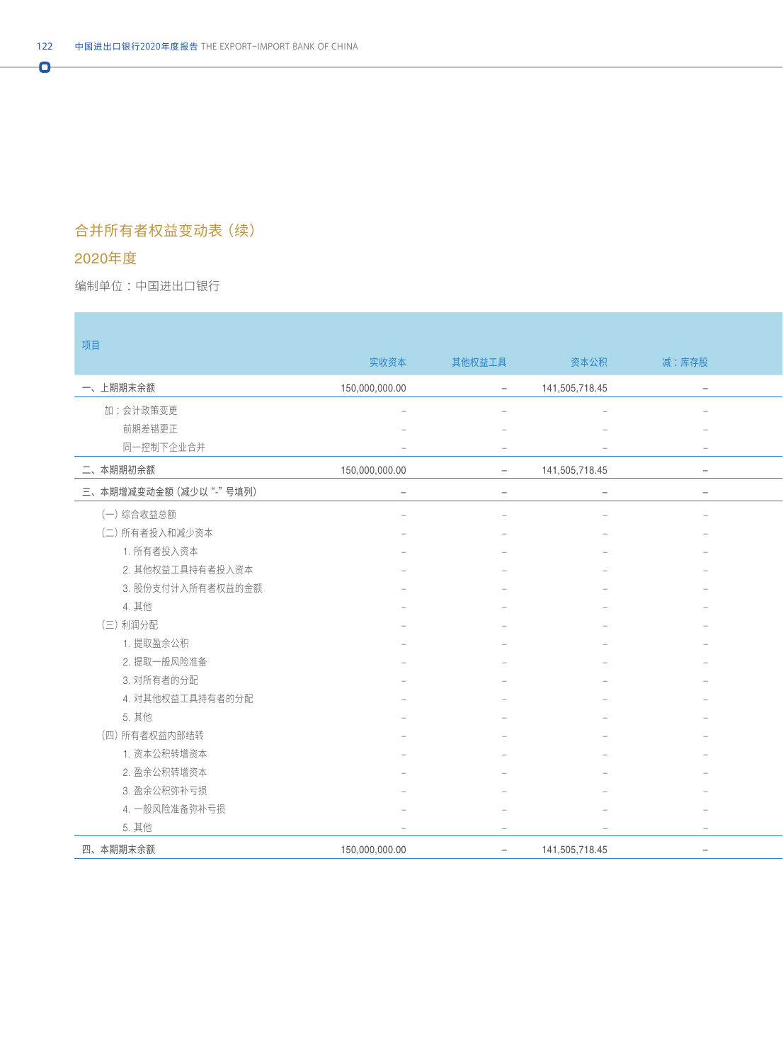## 合并所有者权益变动表(续)

## 2020年度

Ō

编制单位:中国进出口银行 : All and the second state of the second state of the second state of the second state of the second state of the second state of the second state of the second state of the second state of the second state o

| 项目                     |                                 |                          |                |                          |
|------------------------|---------------------------------|--------------------------|----------------|--------------------------|
|                        | 实收资本                            | 其他权益工具                   | 资本公积           | 减:库存股                    |
| 一、上期期末余额               | 150,000,000.00                  | $\sim$                   | 141,505,718.45 | $\sim$                   |
| 加:会计政策变更               |                                 |                          |                | $\overline{\phantom{a}}$ |
| 前期差错更正                 |                                 |                          |                |                          |
| 同一控制下企业合并              |                                 | $\overline{\phantom{a}}$ |                | $\sim$                   |
| 二、本期期初余额               | 150,000,000.00                  | $\sim$                   | 141,505,718.45 | $\sim$                   |
| 三、本期增减变动金额 (减少以"-"号填列) | $\hspace{0.1mm}-\hspace{0.1mm}$ | $\overline{\phantom{m}}$ | $\sim$         | $\sim$                   |
| (一)综合收益总额              |                                 |                          |                | $\sim$                   |
| (二) 所有者投入和减少资本         |                                 |                          |                |                          |
| 1. 所有者投入资本             |                                 |                          |                |                          |
| 2. 其他权益工具持有者投入资本       |                                 |                          |                |                          |
| 3. 股份支付计入所有者权益的金额      |                                 |                          |                |                          |
| 4. 其他                  |                                 |                          |                |                          |
| (三)利润分配                |                                 |                          |                |                          |
| 1. 提取盈余公积              |                                 |                          |                |                          |
| 2. 提取一般风险准备            |                                 |                          |                |                          |
| 3. 对所有者的分配             |                                 |                          |                |                          |
| 4. 对其他权益工具持有者的分配       |                                 |                          |                |                          |
| 5. 其他                  |                                 |                          |                |                          |
| (四) 所有者权益内部结转          |                                 |                          |                |                          |
| 1. 资本公积转增资本            |                                 |                          |                |                          |
| 2. 盈余公积转增资本            |                                 |                          |                |                          |
| 3. 盈余公积弥补亏损            |                                 |                          |                |                          |
| 4. 一般风险准备弥补亏损          |                                 |                          |                |                          |
| 5. 其他                  |                                 | $\overline{\phantom{0}}$ |                | $\sim$                   |
| 四、本期期末余额               | 150,000,000.00                  | $\sim$                   | 141,505,718.45 | $\sim$                   |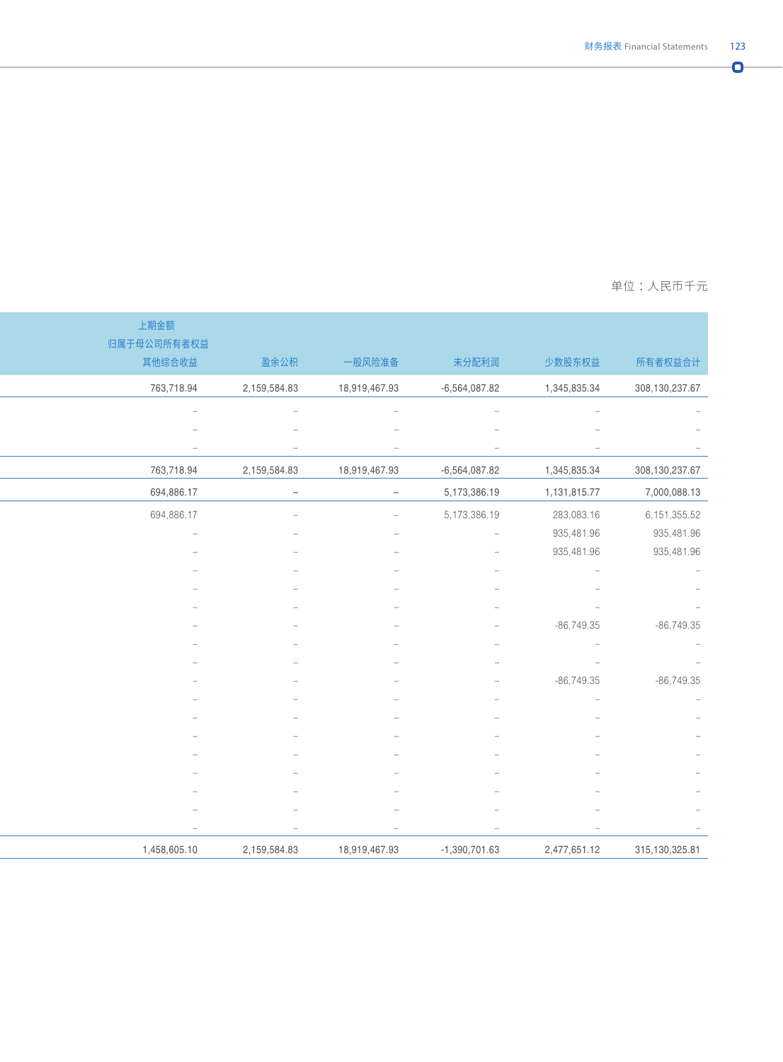Ō.

#### 编制单位 :中国进出口银行 单位 :人民币千元

|                  |                                        |                                 |               |                          | 上期金额                            |
|------------------|----------------------------------------|---------------------------------|---------------|--------------------------|---------------------------------|
|                  |                                        |                                 |               |                          | 归属于母公司所有者权益                     |
| 所有者权益合计          | 少数股东权益                                 | 未分配利润                           | 一般风险准备        | 盈余公积                     | 其他综合收益                          |
| 308,130,237.67   | 1,345,835.34                           | $-6,564,087.82$                 | 18,919,467.93 | 2,159,584.83             | 763,718.94                      |
|                  |                                        |                                 |               |                          |                                 |
|                  |                                        |                                 |               |                          |                                 |
|                  |                                        | $\overline{\phantom{m}}$        |               | $\overline{\phantom{a}}$ | $\hspace{0.1mm}-\hspace{0.1mm}$ |
| 308, 130, 237.67 | 1,345,835.34                           | $-6,564,087.82$                 | 18,919,467.93 | 2,159,584.83             | 763,718.94                      |
| 7,000,088.13     | 1,131,815.77                           | 5,173,386.19                    | $\sim$        | $\overline{\phantom{a}}$ | 694,886.17                      |
| 6, 151, 355.52   | 283,083.16                             | 5,173,386.19                    | $\sim$        |                          | 694,886.17                      |
| 935,481.96       | 935,481.96                             | $\sim$                          |               |                          | $\qquad \qquad -$               |
| 935,481.96       | 935,481.96                             |                                 |               |                          |                                 |
|                  | $\overline{\phantom{a}}$               |                                 |               |                          |                                 |
|                  |                                        |                                 |               |                          |                                 |
|                  | $\overline{\phantom{a}}$               |                                 |               |                          |                                 |
| $-86,749.35$     | $-86,749.35$                           |                                 |               |                          |                                 |
|                  | $\hspace{0.1cm} -$<br>$\hspace{0.1mm}$ |                                 |               |                          |                                 |
| $-86,749.35$     | $-86,749.35$                           |                                 |               |                          |                                 |
|                  |                                        |                                 |               |                          |                                 |
|                  |                                        |                                 |               |                          |                                 |
|                  |                                        |                                 |               |                          |                                 |
|                  |                                        |                                 |               |                          |                                 |
|                  |                                        |                                 |               |                          |                                 |
|                  |                                        |                                 |               |                          |                                 |
|                  |                                        |                                 |               |                          |                                 |
|                  |                                        | $\hspace{0.1mm}-\hspace{0.1mm}$ |               | $\overline{\phantom{a}}$ | $-$                             |
| 315, 130, 325.81 | 2,477,651.12                           | $-1,390,701.63$                 | 18,919,467.93 | 2,159,584.83             | 1,458,605.10                    |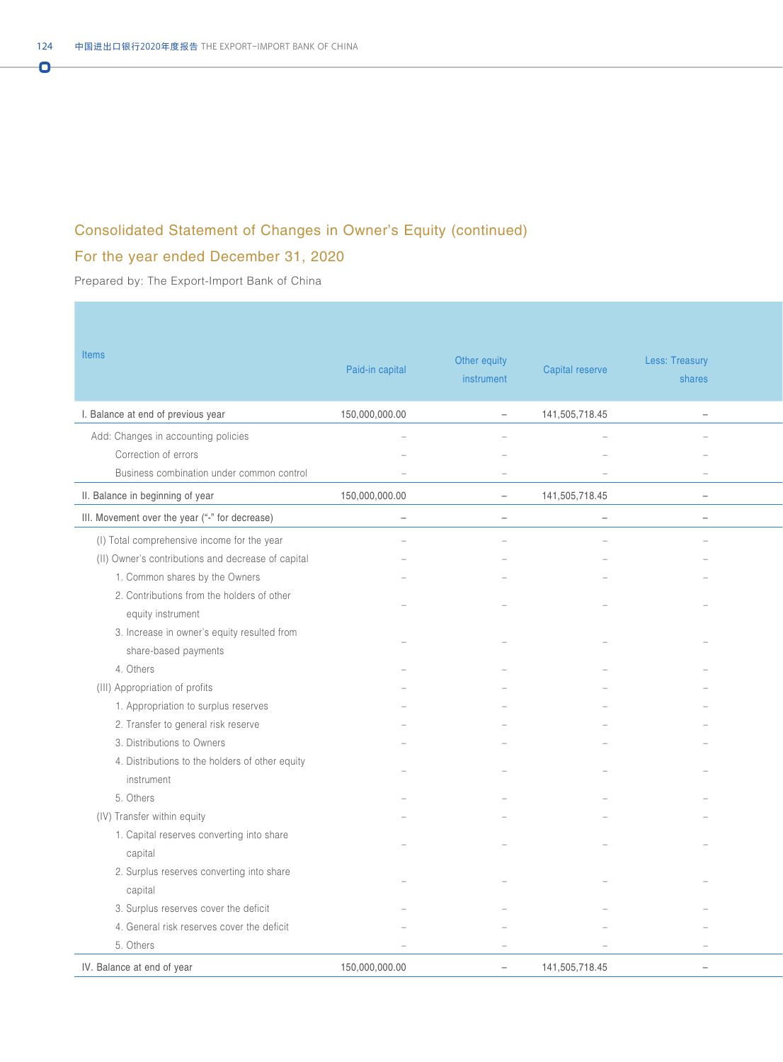## Consolidated Statement of Changes in Owner's Equity (continued)

## For the year ended December 31, 2020

Prepared by: The Export-Import Bank of China

| <b>Items</b>                                       | Paid-in capital          | Other equity<br>instrument | Capital reserve          | <b>Less: Treasury</b><br>shares |
|----------------------------------------------------|--------------------------|----------------------------|--------------------------|---------------------------------|
| I. Balance at end of previous year                 | 150,000,000.00           | $\overline{\phantom{0}}$   | 141,505,718.45           | $\sim$                          |
| Add: Changes in accounting policies                | $\equiv$                 |                            |                          |                                 |
| Correction of errors                               |                          |                            |                          |                                 |
| Business combination under common control          | $\overline{\phantom{a}}$ |                            | $\overline{\phantom{m}}$ | $\overline{\phantom{a}}$        |
| II. Balance in beginning of year                   | 150,000,000.00           | $\equiv$                   | 141,505,718.45           | $\overline{\phantom{a}}$        |
| III. Movement over the year ("-" for decrease)     | $\overline{\phantom{m}}$ | $-$                        | $\sim$                   | $ \,$                           |
| (I) Total comprehensive income for the year        |                          |                            |                          |                                 |
| (II) Owner's contributions and decrease of capital |                          |                            |                          |                                 |
| 1. Common shares by the Owners                     |                          |                            |                          |                                 |
| 2. Contributions from the holders of other         |                          |                            |                          |                                 |
| equity instrument                                  |                          |                            |                          |                                 |
| 3. Increase in owner's equity resulted from        |                          |                            |                          |                                 |
| share-based payments                               |                          |                            |                          |                                 |
| 4. Others                                          |                          |                            |                          |                                 |
| (III) Appropriation of profits                     |                          |                            |                          |                                 |
| 1. Appropriation to surplus reserves               |                          |                            |                          |                                 |
| 2. Transfer to general risk reserve                |                          |                            |                          |                                 |
| 3. Distributions to Owners                         |                          |                            |                          |                                 |
| 4. Distributions to the holders of other equity    |                          |                            |                          |                                 |
| instrument                                         |                          |                            |                          |                                 |
| 5. Others                                          |                          |                            |                          |                                 |
| (IV) Transfer within equity                        |                          |                            |                          |                                 |
| 1. Capital reserves converting into share          |                          |                            |                          |                                 |
| capital                                            |                          |                            |                          |                                 |
| 2. Surplus reserves converting into share          |                          |                            |                          |                                 |
| capital                                            |                          |                            |                          |                                 |
| 3. Surplus reserves cover the deficit              |                          |                            |                          |                                 |
| 4. General risk reserves cover the deficit         |                          |                            |                          |                                 |
| 5. Others                                          | $\equiv$                 |                            |                          |                                 |
| IV. Balance at end of year                         | 150,000,000.00           | $ \,$                      | 141,505,718.45           | $\overline{\phantom{m}}$        |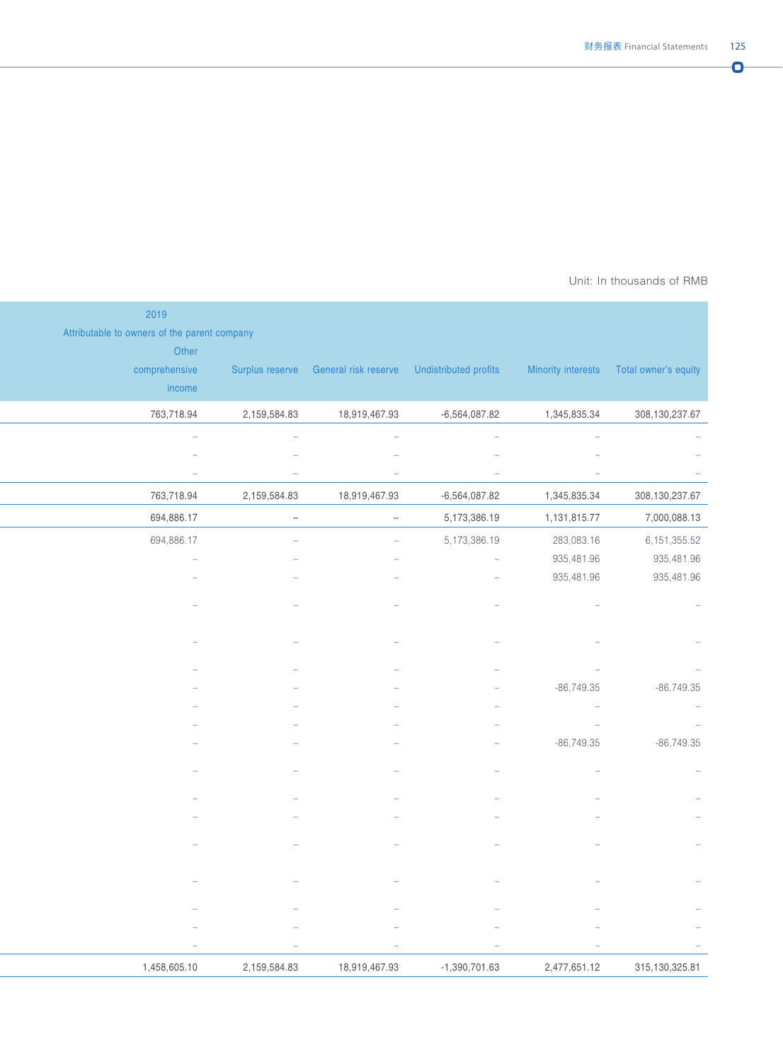#### Unit: In thousands of RMB

|                                                                                                                                   |              | 2019                                                  |
|-----------------------------------------------------------------------------------------------------------------------------------|--------------|-------------------------------------------------------|
|                                                                                                                                   |              | Attributable to owners of the parent company<br>Other |
| Surplus reserve General risk reserve Undistributed profits Minority interests Total owner's equity                                |              | comprehensive                                         |
|                                                                                                                                   |              | income                                                |
| 18,919,467.93<br>$-6,564,087.82$<br>1,345,835.34                                                                                  | 2,159,584.83 | 763,718.94                                            |
| $\overline{\phantom{a}}$<br>$\hspace{0.1mm}$<br>$\hspace{0.1mm}-\hspace{0.1mm}$<br>$\overline{\phantom{a}}$                       |              | $\sim$                                                |
|                                                                                                                                   |              |                                                       |
| $\hspace{0.1mm}-\hspace{0.1mm}$<br>$\overline{\phantom{a}}$<br>$\hspace{0.1mm}-\hspace{0.1mm}$<br>$\hspace{0.1mm}-\hspace{0.1mm}$ |              | $\hspace{0.1mm}-\hspace{0.1mm}$                       |
| 1,345,835.34<br>18,919,467.93<br>$-6,564,087.82$                                                                                  | 2,159,584.83 | 763,718.94                                            |
| 5,173,386.19<br>1,131,815.77<br>$\sim$<br>$\sim$                                                                                  |              | 694,886.17                                            |
| 5,173,386.19<br>283,083.16<br>$\sim$                                                                                              |              | 694,886.17                                            |
| 935,481.96<br>$\sim$                                                                                                              |              | $\overline{\phantom{a}}$                              |
| 935,481.96<br>$\sim$                                                                                                              |              |                                                       |
|                                                                                                                                   |              |                                                       |
|                                                                                                                                   |              |                                                       |
|                                                                                                                                   |              |                                                       |
|                                                                                                                                   |              |                                                       |
| $-86,749.35$                                                                                                                      |              |                                                       |
| $\sim$                                                                                                                            |              |                                                       |
| $\hspace{0.1cm} -$                                                                                                                |              |                                                       |
| $-86,749.35$                                                                                                                      |              |                                                       |
|                                                                                                                                   |              |                                                       |
|                                                                                                                                   |              |                                                       |
|                                                                                                                                   |              |                                                       |
|                                                                                                                                   |              |                                                       |
|                                                                                                                                   |              |                                                       |
|                                                                                                                                   |              |                                                       |
|                                                                                                                                   |              |                                                       |
|                                                                                                                                   |              |                                                       |
| $\overline{\phantom{a}}$<br>$\hspace{0.1mm}-\hspace{0.1mm}$                                                                       |              | $\overline{\phantom{a}}$                              |
| 18,919,467.93<br>$-1,390,701.63$<br>2,477,651.12                                                                                  | 2,159,584.83 | 1,458,605.10                                          |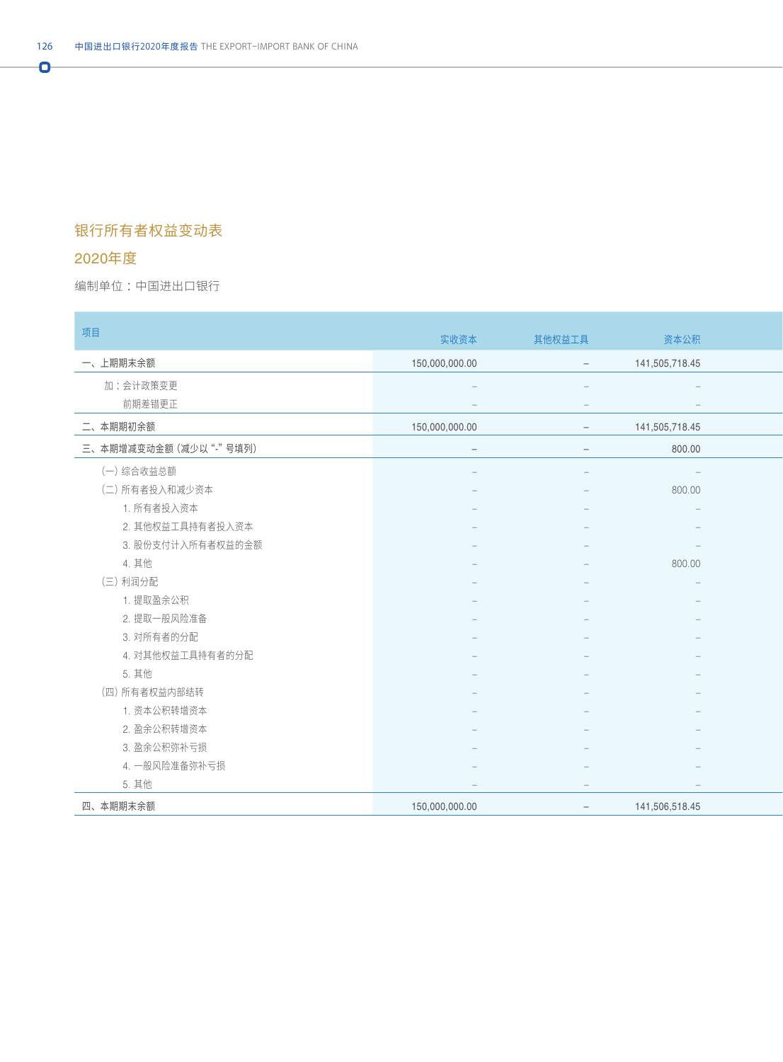## 银行所有者权益变动表

### 2020年度

Ō

编制单位:中国进出口银行 : All and the second state of the second state of the second state of the second state of the second state of the second state of the second state of the second state of the second state of the second state o

| 项目                           | 实收资本           | 其他权益工具                          | 资本公积                            |  |
|------------------------------|----------------|---------------------------------|---------------------------------|--|
| 一、上期期末余额                     | 150,000,000.00 | $\sim$                          | 141,505,718.45                  |  |
| 加:会计政策变更                     |                |                                 | $\sim$                          |  |
| 前期差错更正                       |                | $-$                             | $\hspace{0.1mm}-\hspace{0.1mm}$ |  |
| 二、本期期初余额                     | 150,000,000.00 | $-$                             | 141,505,718.45                  |  |
| 三、本期增减变动金额 (减少以"-"号填列)       | $\overline{a}$ | $-$                             | 800.00                          |  |
| (一)综合收益总额                    |                |                                 | $\sim$                          |  |
| (二) 所有者投入和减少资本               |                |                                 | 800.00                          |  |
| 1. 所有者投入资本                   |                |                                 |                                 |  |
| 2. 其他权益工具持有者投入资本             |                |                                 |                                 |  |
| 3. 股份支付计入所有者权益的金额            |                |                                 | $\hspace{0.1mm}-\hspace{0.1mm}$ |  |
| 4. 其他                        |                |                                 | 800.00                          |  |
| (三) 利润分配                     |                |                                 | $\sim$                          |  |
| 1. 提取盈余公积                    |                |                                 |                                 |  |
| 2. 提取一般风险准备                  |                |                                 |                                 |  |
| 3. 对所有者的分配                   |                |                                 |                                 |  |
| 4. 对其他权益工具持有者的分配             |                |                                 |                                 |  |
| 5. 其他                        |                |                                 |                                 |  |
| (四) 所有者权益内部结转<br>1. 资本公积转增资本 |                |                                 |                                 |  |
| 2. 盈余公积转增资本                  |                |                                 |                                 |  |
| 3. 盈余公积弥补亏损                  |                |                                 | $\qquad \qquad -$               |  |
| 4. 一般风险准备弥补亏损                |                |                                 |                                 |  |
| 5. 其他                        |                | $\hspace{0.1mm}-\hspace{0.1mm}$ | $\hspace{0.1mm}-\hspace{0.1mm}$ |  |
| 四、本期期末余额                     | 150,000,000.00 | $\sim$                          | 141,506,518.45                  |  |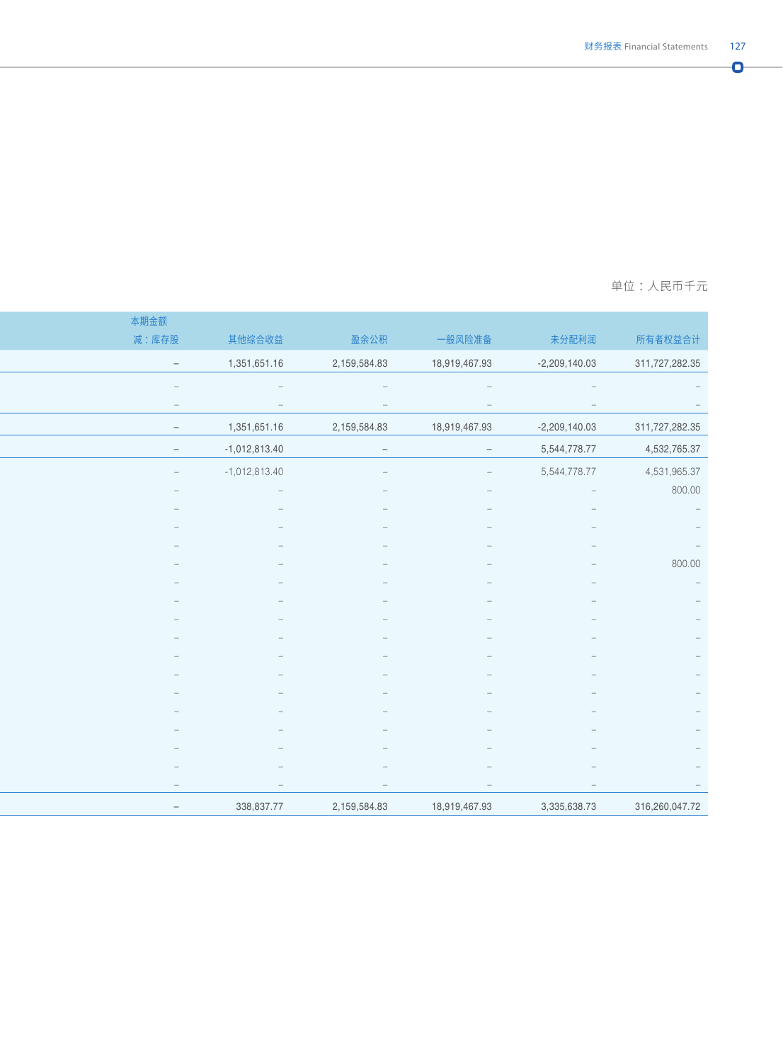#### 编制单位 :中国进出口银行 单位 :人民币千元

|                                 |                           |                                 |                                 |                                 | 本期金额                            |
|---------------------------------|---------------------------|---------------------------------|---------------------------------|---------------------------------|---------------------------------|
| 所有者权益合计                         | 未分配利润                     | 一般风险准备                          | 盈余公积                            | 其他综合收益                          | 减:库存股                           |
| 311,727,282.35                  | $-2,209,140.03$           | 18,919,467.93                   | 2,159,584.83                    | 1,351,651.16                    | $\sim$                          |
| $\hspace{0.1mm}-\hspace{0.1mm}$ |                           |                                 |                                 | $\hspace{0.1mm}-\hspace{0.1mm}$ | $\overline{\phantom{a}}$        |
|                                 | $\hspace{0.1mm}$          |                                 | $\hspace{0.1mm}$                | $\hspace{0.1mm}-\hspace{0.1mm}$ | $\hspace{0.1mm}-\hspace{0.1mm}$ |
| 311,727,282.35                  | $-2,209,140.03$           | 18,919,467.93                   | 2,159,584.83                    | 1,351,651.16                    | $\sim$                          |
| 4,532,765.37                    | 5,544,778.77              | $\sim$                          | $\sim$                          | $-1,012,813.40$                 | $\sim$                          |
| 4,531,965.37                    | 5,544,778.77              | $\hspace{0.1mm}-\hspace{0.1mm}$ |                                 | $-1,012,813.40$                 | $\sim$                          |
| 800.00                          | $\mathcal{L}=\mathcal{L}$ |                                 |                                 | $\hspace{0.1mm}-\hspace{0.1mm}$ | $\sim$                          |
|                                 |                           |                                 |                                 |                                 |                                 |
|                                 |                           |                                 |                                 |                                 |                                 |
|                                 |                           |                                 |                                 |                                 |                                 |
| 800.00                          |                           |                                 |                                 |                                 |                                 |
|                                 |                           |                                 |                                 |                                 |                                 |
| $\overline{\phantom{a}}$        |                           |                                 |                                 |                                 |                                 |
| $\overline{\phantom{a}}$        |                           |                                 |                                 |                                 |                                 |
| $\overline{\phantom{a}}$        |                           |                                 |                                 |                                 |                                 |
|                                 |                           |                                 |                                 |                                 |                                 |
|                                 |                           |                                 |                                 |                                 |                                 |
|                                 |                           |                                 |                                 |                                 |                                 |
|                                 |                           |                                 |                                 |                                 |                                 |
|                                 |                           |                                 |                                 |                                 |                                 |
|                                 |                           |                                 |                                 |                                 | $\overline{\phantom{m}}$        |
|                                 | $\hspace{0.1mm}$          | $\hspace{0.1mm}-\hspace{0.1mm}$ | $\hspace{0.1mm}-\hspace{0.1mm}$ | $\overline{\phantom{m}}$        | $\hspace{0.1cm} -$              |
| 316,260,047.72                  | 3,335,638.73              | 18,919,467.93                   | 2,159,584.83                    | 338,837.77                      | $\sim$                          |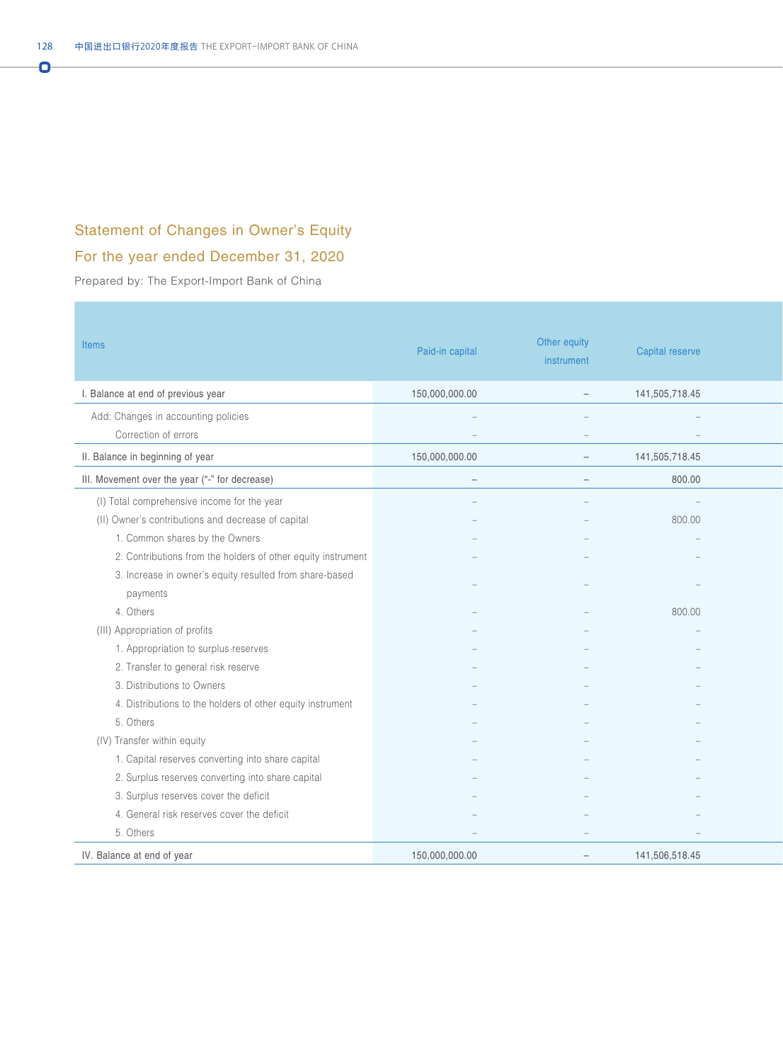## Statement of Changes in Owner's Equity

## For the year ended December 31, 2020

Prepared by: The Export-Import Bank of China

| <b>Items</b>                                                 | Paid-in capital                                             | Other equity<br>instrument           | Capital reserve                           |  |
|--------------------------------------------------------------|-------------------------------------------------------------|--------------------------------------|-------------------------------------------|--|
| I. Balance at end of previous year                           | 150,000,000.00                                              | $\overline{\phantom{a}}$             | 141,505,718.45                            |  |
| Add: Changes in accounting policies<br>Correction of errors  | $\overline{\phantom{a}}$<br>$\hspace{0.1mm}-\hspace{0.1mm}$ | $\equiv$<br>$\overline{\phantom{a}}$ | $\sim$<br>$\hspace{0.1mm}-\hspace{0.1mm}$ |  |
| II. Balance in beginning of year                             | 150,000,000.00                                              | $\sim$                               | 141,505,718.45                            |  |
| III. Movement over the year ("-" for decrease)               | $\overline{\phantom{m}}$                                    | $ \,$                                | 800.00                                    |  |
| (I) Total comprehensive income for the year                  |                                                             | $\equiv$                             | $\sim 100$ km s $^{-1}$                   |  |
| (II) Owner's contributions and decrease of capital           |                                                             |                                      | 800.00                                    |  |
| 1. Common shares by the Owners                               |                                                             |                                      |                                           |  |
| 2. Contributions from the holders of other equity instrument |                                                             |                                      |                                           |  |
| 3. Increase in owner's equity resulted from share-based      |                                                             |                                      |                                           |  |
| payments                                                     |                                                             |                                      |                                           |  |
| 4. Others                                                    |                                                             |                                      | 800.00                                    |  |
| (III) Appropriation of profits                               |                                                             |                                      |                                           |  |
| 1. Appropriation to surplus reserves                         |                                                             |                                      |                                           |  |
| 2. Transfer to general risk reserve                          |                                                             |                                      |                                           |  |
| 3. Distributions to Owners                                   |                                                             |                                      |                                           |  |
| 4. Distributions to the holders of other equity instrument   |                                                             |                                      |                                           |  |
| 5. Others                                                    |                                                             |                                      |                                           |  |
| (IV) Transfer within equity                                  |                                                             |                                      |                                           |  |
| 1. Capital reserves converting into share capital            |                                                             |                                      |                                           |  |
| 2. Surplus reserves converting into share capital            |                                                             |                                      |                                           |  |
| 3. Surplus reserves cover the deficit                        |                                                             |                                      |                                           |  |
| 4. General risk reserves cover the deficit                   |                                                             |                                      |                                           |  |
| 5. Others                                                    |                                                             | $-$                                  | $\overline{\phantom{m}}$                  |  |
| IV. Balance at end of year                                   | 150,000,000.00                                              | $\sim$                               | 141,506,518.45                            |  |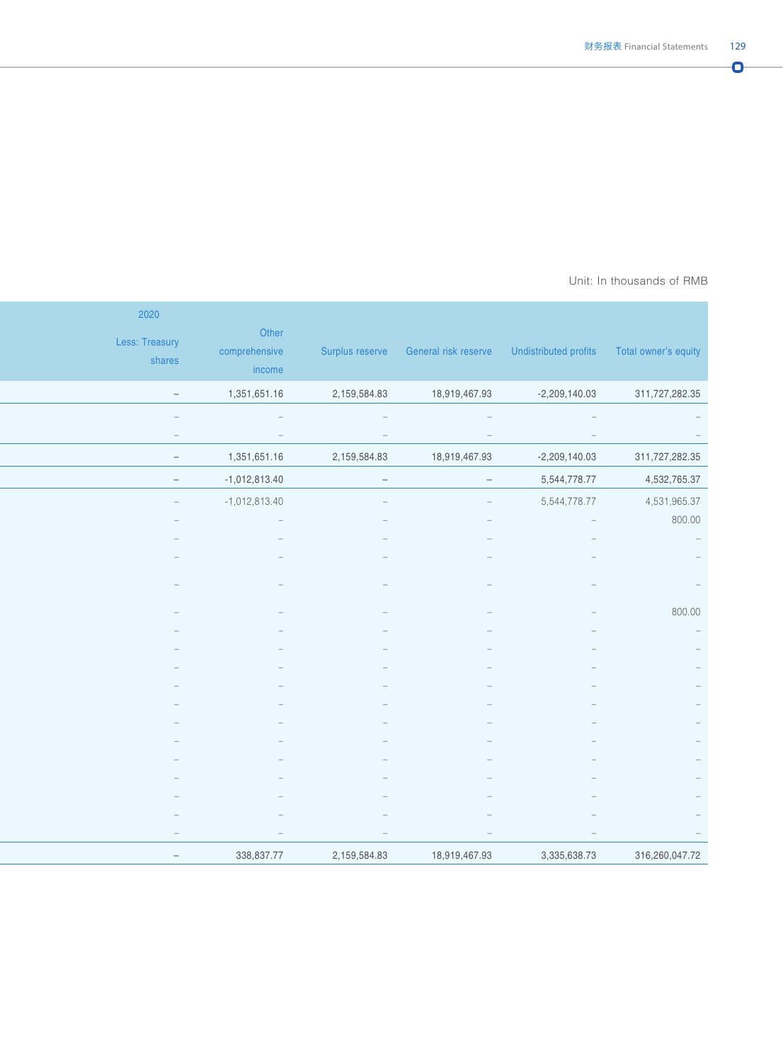#### Prepared by: The Export-Importance Bank of AMB Unit: In thousands of RMB  $\,$

|                                                                    | Surplus reserve General risk reserve Undistributed profits Total owner's equity |                                 |                                 | Other<br>comprehensive<br>income | 2020<br>Less: Treasury<br>shares |
|--------------------------------------------------------------------|---------------------------------------------------------------------------------|---------------------------------|---------------------------------|----------------------------------|----------------------------------|
| 311,727,282.35                                                     | $-2,209,140.03$                                                                 | 18,919,467.93                   | 2,159,584.83                    | 1,351,651.16                     | $\sim$                           |
| $\sim$                                                             | $\alpha \rightarrow \beta$                                                      | $\sim$ $ \sim$                  | $\sim$ $-$                      | $\mathcal{L}=\mathcal{L}$        | $\hspace{0.1mm}-\hspace{0.1mm}$  |
| $\sim$                                                             | $\sim$                                                                          | $\hspace{0.1mm}-\hspace{0.1mm}$ | $\hspace{0.1mm}-\hspace{0.1mm}$ | $\sim$                           | $\alpha = 1$                     |
| 311,727,282.35                                                     | $-2,209,140.03$                                                                 | 18,919,467.93                   | 2,159,584.83                    | 1,351,651.16                     | $\sim$                           |
| 4,532,765.37                                                       | 5,544,778.77                                                                    | $\sim$                          | $-$                             | $-1,012,813.40$                  | $\sim$                           |
| 4,531,965.37                                                       | 5,544,778.77                                                                    | $\overline{\phantom{0}}$        | $\equiv$                        | $-1,012,813.40$                  | $\sim$ $-$                       |
| 800.00                                                             | $\hspace{0.1mm}-\hspace{0.1mm}$                                                 |                                 |                                 |                                  |                                  |
| $\mathcal{L}^{\mathcal{L}}$ and $\mathcal{L}^{\mathcal{L}}$        |                                                                                 |                                 |                                 |                                  |                                  |
| $\hspace{0.1mm}-\hspace{0.1mm}$                                    |                                                                                 |                                 |                                 |                                  |                                  |
| $\hspace{0.1mm}$ $\hspace{0.1mm}$                                  |                                                                                 |                                 |                                 |                                  |                                  |
| 800.00                                                             |                                                                                 |                                 |                                 |                                  |                                  |
| $\alpha \rightarrow \beta$                                         |                                                                                 |                                 |                                 |                                  |                                  |
| $\sim$                                                             |                                                                                 |                                 |                                 |                                  |                                  |
| $\sim$                                                             |                                                                                 |                                 |                                 |                                  |                                  |
| $\hspace{0.1mm}-\hspace{0.1mm}$                                    |                                                                                 |                                 |                                 |                                  |                                  |
| $\hspace{0.1mm}-\hspace{0.1mm}$                                    |                                                                                 |                                 |                                 |                                  |                                  |
| $\hspace{0.1mm}-\hspace{0.1mm}$<br>$\hspace{0.1mm}-\hspace{0.1mm}$ |                                                                                 |                                 |                                 |                                  |                                  |
| $\hspace{0.1mm}-\hspace{0.1mm}$                                    |                                                                                 |                                 |                                 |                                  |                                  |
| $\sim$                                                             |                                                                                 |                                 |                                 |                                  |                                  |
| $\overline{\phantom{a}}$                                           |                                                                                 |                                 |                                 |                                  |                                  |
| $\hspace{0.1mm}-\hspace{0.1mm}$                                    |                                                                                 |                                 |                                 |                                  |                                  |
| $\hspace{0.1mm}-\hspace{0.1mm}$                                    |                                                                                 | $\hspace{0.1mm}-\hspace{0.1mm}$ | $\hspace{0.1mm}-\hspace{0.1mm}$ |                                  | $\overline{\phantom{m}}$         |
| 316,260,047.72                                                     | 3,335,638.73                                                                    | 18,919,467.93                   | 2,159,584.83                    | 338,837.77                       | $\sim$                           |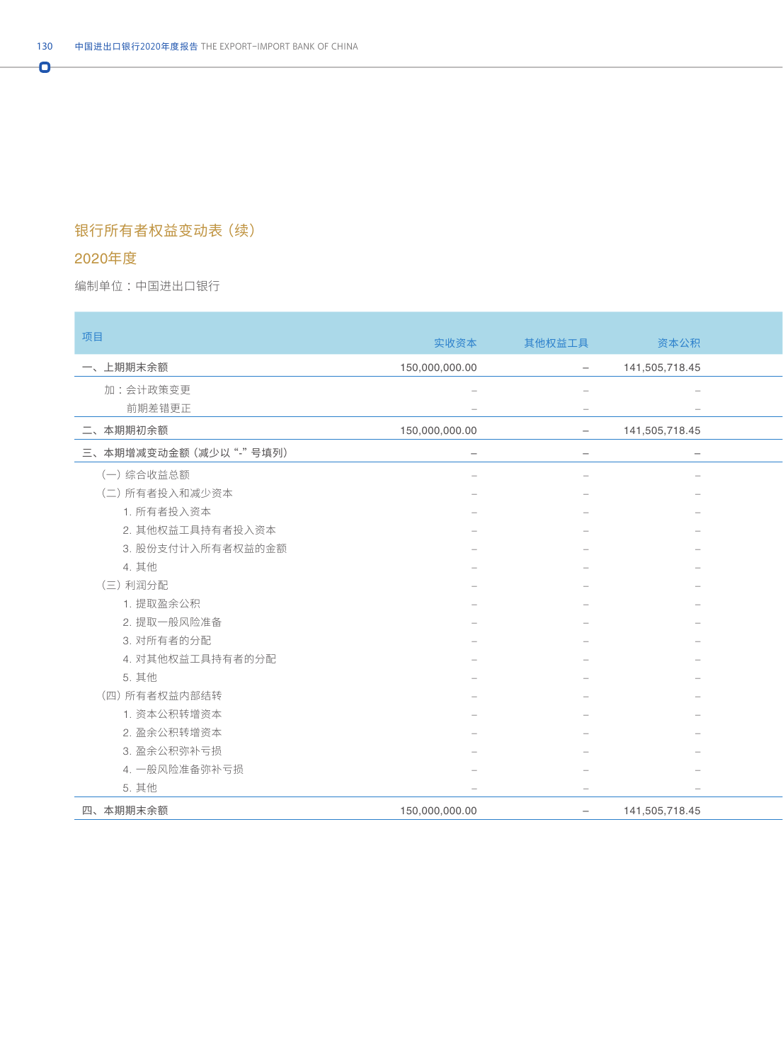## 银行所有者权益变动表(续)

### 2020年度

**COL** 

Ō

编制单位:中国进出口银行 : All and the second state of the second state of the second state of the second state of the second state of the second state of the second state of the second state of the second state of the second state o

| 项目                     | 实收资本                            | 其他权益工具                          | 资本公积                     |
|------------------------|---------------------------------|---------------------------------|--------------------------|
| 一、上期期末余额               | 150,000,000.00                  | $ \,$                           | 141,505,718.45           |
| 加:会计政策变更               |                                 | $\sim$                          | $\sim$                   |
| 前期差错更正                 |                                 | $\hspace{0.1mm}-\hspace{0.1mm}$ | $\overline{\phantom{a}}$ |
| 二、本期期初余额               | 150,000,000.00                  | $ \,$                           | 141,505,718.45           |
| 三、本期增减变动金额 (减少以"-"号填列) | $\overline{\phantom{0}}$        | $ \,$                           | $\sim$                   |
| (一)综合收益总额              |                                 |                                 |                          |
| (二) 所有者投入和减少资本         |                                 |                                 |                          |
| 1. 所有者投入资本             |                                 |                                 | $\overline{\phantom{m}}$ |
| 2. 其他权益工具持有者投入资本       |                                 |                                 |                          |
| 3. 股份支付计入所有者权益的金额      |                                 |                                 |                          |
| 4. 其他                  |                                 |                                 |                          |
| (三) 利润分配               |                                 |                                 |                          |
| 1. 提取盈余公积              |                                 |                                 | $\overline{\phantom{a}}$ |
| 2. 提取一般风险准备            |                                 |                                 |                          |
| 3. 对所有者的分配             |                                 |                                 |                          |
| 4. 对其他权益工具持有者的分配       |                                 |                                 | $\overline{\phantom{m}}$ |
| 5. 其他                  |                                 |                                 |                          |
| (四) 所有者权益内部结转          |                                 |                                 |                          |
| 1. 资本公积转增资本            |                                 |                                 |                          |
| 2. 盈余公积转增资本            |                                 |                                 |                          |
| 3. 盈余公积弥补亏损            |                                 |                                 | ÷                        |
| 4. 一般风险准备弥补亏损          |                                 |                                 |                          |
| 5. 其他                  | $\hspace{0.1mm}-\hspace{0.1mm}$ | $\equiv$                        | $\overline{\phantom{a}}$ |
| 四、本期期末余额               | 150,000,000.00                  | $\overline{\phantom{a}}$        | 141,505,718.45           |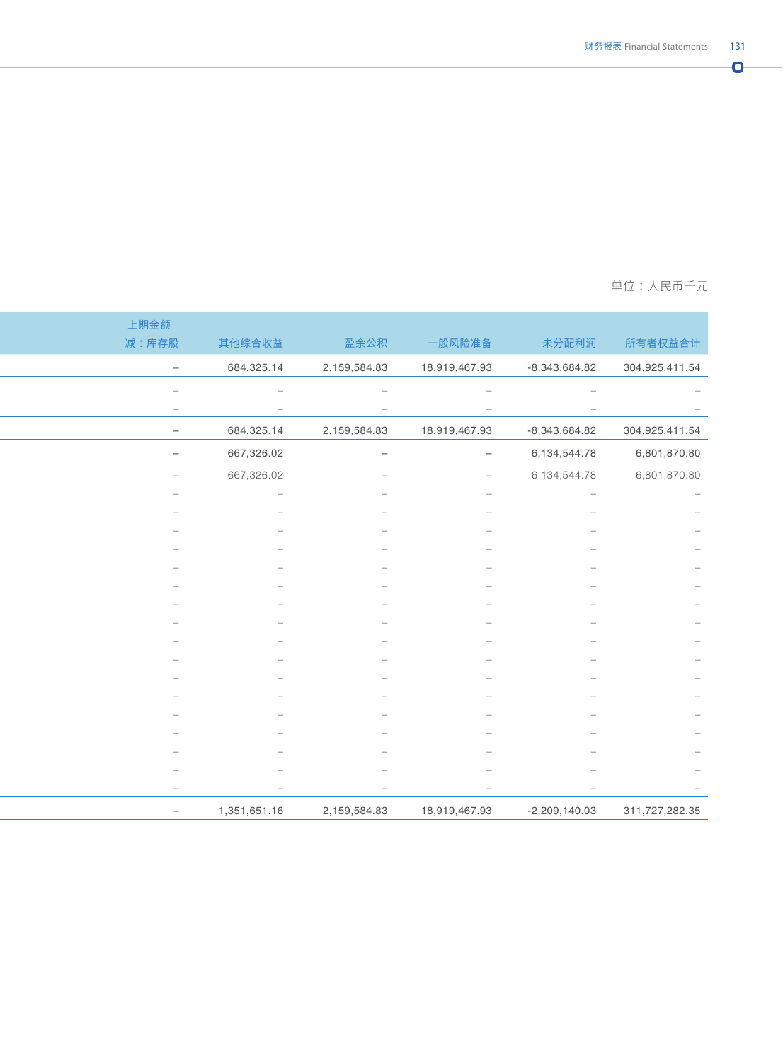编制单位 :中国进出口银行 单位 :人民币千元

|                                                                                                                            | 上期金额                            |
|----------------------------------------------------------------------------------------------------------------------------|---------------------------------|
| 其他综合收益<br>盈余公积<br>一般风险准备<br>未分配利润                                                                                          | 减:库存股                           |
| 684,325.14<br>2,159,584.83<br>18,919,467.93<br>$-8,343,684.82$                                                             | $\sim$                          |
| $\overline{\phantom{a}}$<br>$\overline{\phantom{a}}$<br>$\hspace{0.1mm}-\hspace{0.1mm}$<br>$\hspace{0.1mm}-\hspace{0.1mm}$ | $\hspace{0.1mm}-\hspace{0.1mm}$ |
| $\overline{\phantom{m}}$<br>$\overline{\phantom{m}}$<br>$\hspace{0.1mm}-\hspace{0.1mm}$<br>$\hspace{0.1mm}-\hspace{0.1mm}$ | $\hspace{0.1mm}$                |
| 684,325.14<br>2,159,584.83<br>18,919,467.93<br>$-8,343,684.82$                                                             | $\overline{\phantom{0}}$        |
| 667,326.02<br>6,134,544.78<br>$\overline{\phantom{m}}$<br>$ \,$                                                            | $\hspace{0.1mm}-\hspace{0.1mm}$ |
| 667,326.02<br>6,134,544.78<br>$\sim$<br>$\overline{\phantom{0}}$                                                           | $\sim$                          |
| $\hspace{0.1mm}-\hspace{0.1mm}$                                                                                            |                                 |
|                                                                                                                            |                                 |
|                                                                                                                            |                                 |
|                                                                                                                            |                                 |
|                                                                                                                            |                                 |
|                                                                                                                            |                                 |
|                                                                                                                            |                                 |
|                                                                                                                            |                                 |
|                                                                                                                            |                                 |
|                                                                                                                            |                                 |
|                                                                                                                            |                                 |
|                                                                                                                            |                                 |
|                                                                                                                            |                                 |
|                                                                                                                            |                                 |
|                                                                                                                            |                                 |
|                                                                                                                            |                                 |
| $\overline{\phantom{m}}$<br>$\overline{\phantom{m}}$<br>$\hspace{0.1mm}-\hspace{0.1mm}$<br>$\hspace{0.1mm}-\hspace{0.1mm}$ | $\hspace{0.1cm}$                |
| 1,351,651.16<br>2,159,584.83<br>18,919,467.93<br>$-2,209,140.03$                                                           | $\hspace{0.1mm}-\hspace{0.1mm}$ |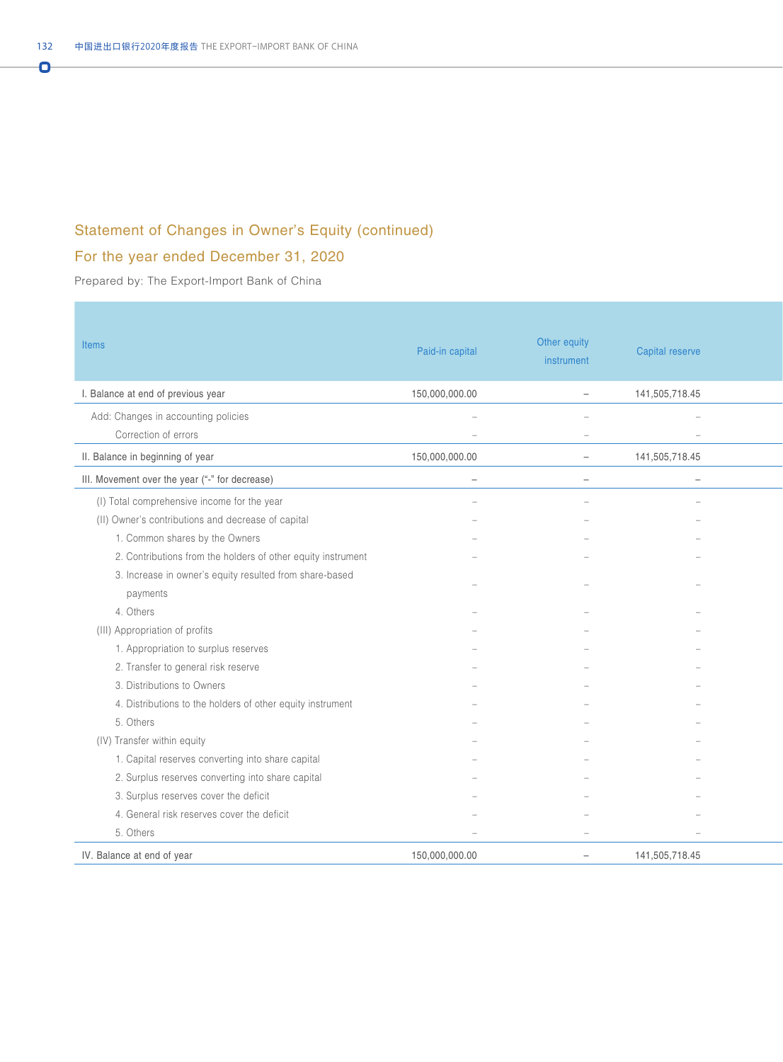## Statement of Changes in Owner's Equity (continued)

## For the year ended December 31, 2020

Prepared by: The Export-Import Bank of China

| Items                                                        | Paid-in capital                                      | Other equity<br>instrument | Capital reserve                              |
|--------------------------------------------------------------|------------------------------------------------------|----------------------------|----------------------------------------------|
| I. Balance at end of previous year                           | 150,000,000.00                                       | $\equiv$                   | 141,505,718.45                               |
| Add: Changes in accounting policies<br>Correction of errors  | $\overline{\phantom{a}}$<br>$\overline{\phantom{a}}$ | $\sim$<br>$\sim$           | $\overline{\phantom{a}}$<br>$\hspace{0.1mm}$ |
| II. Balance in beginning of year                             | 150,000,000.00                                       | $\sim$                     | 141,505,718.45                               |
| III. Movement over the year ("-" for decrease)               | $\overline{\phantom{m}}$                             | $\overline{\phantom{m}}$   | $\overline{\phantom{a}}$                     |
| (I) Total comprehensive income for the year                  |                                                      |                            |                                              |
| (II) Owner's contributions and decrease of capital           |                                                      |                            |                                              |
| 1. Common shares by the Owners                               |                                                      |                            |                                              |
| 2. Contributions from the holders of other equity instrument |                                                      |                            |                                              |
| 3. Increase in owner's equity resulted from share-based      |                                                      |                            |                                              |
| payments                                                     |                                                      |                            |                                              |
| 4. Others                                                    |                                                      |                            |                                              |
| (III) Appropriation of profits                               |                                                      |                            |                                              |
| 1. Appropriation to surplus reserves                         |                                                      |                            |                                              |
| 2. Transfer to general risk reserve                          |                                                      |                            |                                              |
| 3. Distributions to Owners                                   |                                                      |                            |                                              |
| 4. Distributions to the holders of other equity instrument   |                                                      |                            |                                              |
| 5. Others                                                    |                                                      |                            |                                              |
| (IV) Transfer within equity                                  |                                                      |                            |                                              |
| 1. Capital reserves converting into share capital            |                                                      |                            |                                              |
| 2. Surplus reserves converting into share capital            |                                                      |                            |                                              |
| 3. Surplus reserves cover the deficit                        |                                                      |                            |                                              |
| 4. General risk reserves cover the deficit                   |                                                      |                            |                                              |
| 5. Others                                                    | $\equiv$                                             | $\overline{\phantom{a}}$   | $\sim$                                       |
| IV. Balance at end of year                                   | 150,000,000.00                                       | $\sim$                     | 141,505,718.45                               |